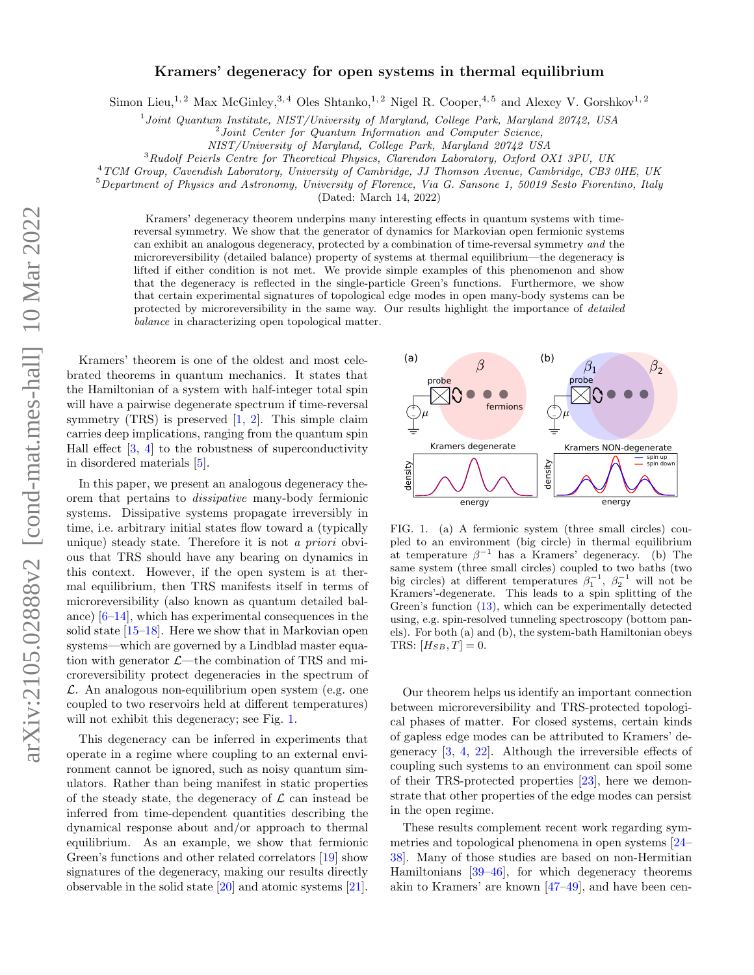## Kramers' degeneracy for open systems in thermal equilibrium

Simon Lieu,<sup>1, 2</sup> Max McGinley,<sup>3, 4</sup> Oles Shtanko,<sup>1, 2</sup> Nigel R. Cooper,<sup>4, 5</sup> and Alexey V. Gorshkov<sup>1, 2</sup>

<sup>1</sup> Joint Quantum Institute, NIST/University of Maryland, College Park, Maryland 20742, USA

<sup>2</sup> Joint Center for Quantum Information and Computer Science,

NIST/University of Maryland, College Park, Maryland 20742 USA

<sup>3</sup>Rudolf Peierls Centre for Theoretical Physics, Clarendon Laboratory, Oxford OX1 3PU, UK

<sup>4</sup>TCM Group, Cavendish Laboratory, University of Cambridge, JJ Thomson Avenue, Cambridge, CB3 0HE, UK

 $5$ Department of Physics and Astronomy, University of Florence, Via G. Sansone 1, 50019 Sesto Fiorentino, Italy

(Dated: March 14, 2022)

Kramers' degeneracy theorem underpins many interesting effects in quantum systems with timereversal symmetry. We show that the generator of dynamics for Markovian open fermionic systems can exhibit an analogous degeneracy, protected by a combination of time-reversal symmetry and the microreversibility (detailed balance) property of systems at thermal equilibrium—the degeneracy is lifted if either condition is not met. We provide simple examples of this phenomenon and show that the degeneracy is reflected in the single-particle Green's functions. Furthermore, we show that certain experimental signatures of topological edge modes in open many-body systems can be protected by microreversibility in the same way. Our results highlight the importance of detailed balance in characterizing open topological matter.

Kramers' theorem is one of the oldest and most celebrated theorems in quantum mechanics. It states that the Hamiltonian of a system with half-integer total spin will have a pairwise degenerate spectrum if time-reversal symmetry  $(TRS)$  is preserved  $[1, 2]$  $[1, 2]$ . This simple claim carries deep implications, ranging from the quantum spin Hall effect  $[3, 4]$  $[3, 4]$  to the robustness of superconductivity in disordered materials [\[5\]](#page-4-4).

In this paper, we present an analogous degeneracy theorem that pertains to dissipative many-body fermionic systems. Dissipative systems propagate irreversibly in time, i.e. arbitrary initial states flow toward a (typically unique) steady state. Therefore it is not a priori obvious that TRS should have any bearing on dynamics in this context. However, if the open system is at thermal equilibrium, then TRS manifests itself in terms of microreversibility (also known as quantum detailed balance) [\[6–](#page-4-5)[14\]](#page-4-6), which has experimental consequences in the solid state  $[15-18]$  $[15-18]$ . Here we show that in Markovian open systems—which are governed by a Lindblad master equation with generator  $\mathcal{L}$ —the combination of TRS and microreversibility protect degeneracies in the spectrum of  $\mathcal{L}$ . An analogous non-equilibrium open system (e.g. one coupled to two reservoirs held at different temperatures) will not exhibit this degeneracy; see Fig. [1.](#page-0-0)

This degeneracy can be inferred in experiments that operate in a regime where coupling to an external environment cannot be ignored, such as noisy quantum simulators. Rather than being manifest in static properties of the steady state, the degeneracy of  $\mathcal L$  can instead be inferred from time-dependent quantities describing the dynamical response about and/or approach to thermal equilibrium. As an example, we show that fermionic Green's functions and other related correlators [\[19\]](#page-5-0) show signatures of the degeneracy, making our results directly observable in the solid state [\[20\]](#page-5-1) and atomic systems [\[21\]](#page-5-2).



<span id="page-0-0"></span>FIG. 1. (a) A fermionic system (three small circles) coupled to an environment (big circle) in thermal equilibrium at temperature  $\beta^{-1}$  has a Kramers' degeneracy. (b) The same system (three small circles) coupled to two baths (two big circles) at different temperatures  $\beta_1^{-1}$ ,  $\beta_2^{-1}$  will not be Kramers'-degenerate. This leads to a spin splitting of the Green's function [\(13\)](#page-3-0), which can be experimentally detected using, e.g. spin-resolved tunneling spectroscopy (bottom panels). For both (a) and (b), the system-bath Hamiltonian obeys TRS:  $[H_{SB}, T] = 0.$ 

Our theorem helps us identify an important connection between microreversibility and TRS-protected topological phases of matter. For closed systems, certain kinds of gapless edge modes can be attributed to Kramers' degeneracy [\[3,](#page-4-2) [4,](#page-4-3) [22\]](#page-5-3). Although the irreversible effects of coupling such systems to an environment can spoil some of their TRS-protected properties [\[23\]](#page-5-4), here we demonstrate that other properties of the edge modes can persist in the open regime.

These results complement recent work regarding symmetries and topological phenomena in open systems [\[24–](#page-5-5) [38\]](#page-5-6). Many of those studies are based on non-Hermitian Hamiltonians [\[39](#page-5-7)[–46\]](#page-5-8), for which degeneracy theorems akin to Kramers' are known [\[47–](#page-5-9)[49\]](#page-5-10), and have been cen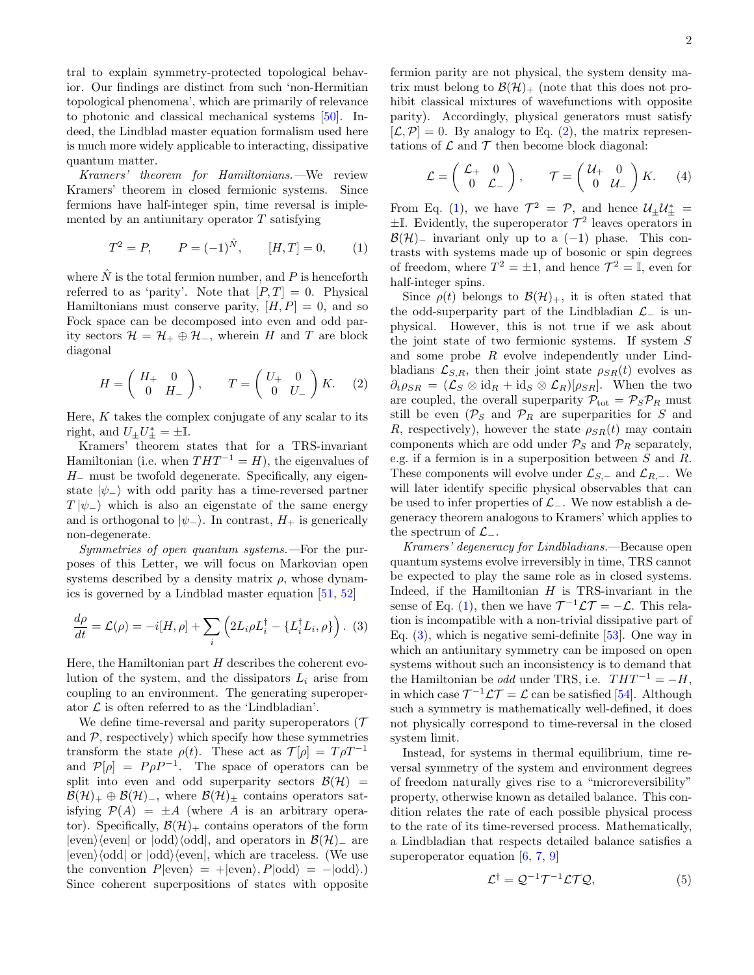tral to explain symmetry-protected topological behavior. Our findings are distinct from such 'non-Hermitian topological phenomena', which are primarily of relevance to photonic and classical mechanical systems [\[50\]](#page-5-11). Indeed, the Lindblad master equation formalism used here is much more widely applicable to interacting, dissipative quantum matter.

Kramers' theorem for Hamiltonians.—We review Kramers' theorem in closed fermionic systems. Since fermions have half-integer spin, time reversal is implemented by an antiunitary operator  $T$  satisfying

$$
T^2 = P, \qquad P = (-1)^{\hat{N}}, \qquad [H, T] = 0, \qquad (1)
$$

where  $\hat{N}$  is the total fermion number, and P is henceforth referred to as 'parity'. Note that  $[P,T] = 0$ . Physical Hamiltonians must conserve parity,  $[H, P] = 0$ , and so Fock space can be decomposed into even and odd parity sectors  $\mathcal{H} = \mathcal{H}_+ \oplus \mathcal{H}_-,$  wherein H and T are block diagonal

$$
H = \begin{pmatrix} H_+ & 0 \\ 0 & H_- \end{pmatrix}, \qquad T = \begin{pmatrix} U_+ & 0 \\ 0 & U_- \end{pmatrix} K. \tag{2}
$$

Here,  $K$  takes the complex conjugate of any scalar to its right, and  $U_{\pm}U_{\pm}^* = \pm \mathbb{I}$ .

Kramers' theorem states that for a TRS-invariant Hamiltonian (i.e. when  $THT^{-1} = H$ ), the eigenvalues of H<sup>−</sup> must be twofold degenerate. Specifically, any eigenstate  $|\psi_{-}\rangle$  with odd parity has a time-reversed partner  $T |\psi_-\rangle$  which is also an eigenstate of the same energy and is orthogonal to  $|\psi_-\rangle$ . In contrast,  $H_+$  is generically non-degenerate.

Symmetries of open quantum systems.—For the purposes of this Letter, we will focus on Markovian open systems described by a density matrix  $\rho$ , whose dynamics is governed by a Lindblad master equation [\[51,](#page-5-12) [52\]](#page-5-13)

$$
\frac{d\rho}{dt} = \mathcal{L}(\rho) = -i[H, \rho] + \sum_{i} \left( 2L_i \rho L_i^{\dagger} - \{L_i^{\dagger} L_i, \rho\} \right). (3)
$$

Here, the Hamiltonian part  $H$  describes the coherent evolution of the system, and the dissipators  $L_i$  arise from coupling to an environment. The generating superoperator  $\mathcal L$  is often referred to as the 'Lindbladian'.

We define time-reversal and parity superoperators ( $\mathcal T$ and  $P$ , respectively) which specify how these symmetries transform the state  $\rho(t)$ . These act as  $\mathcal{T}[\rho] = T \rho T^{-1}$ and  $\mathcal{P}[\rho] = P \rho P^{-1}$ . The space of operators can be split into even and odd superparity sectors  $\mathcal{B}(\mathcal{H}) =$  $\mathcal{B}(\mathcal{H})_+\oplus \mathcal{B}(\mathcal{H})_-,$  where  $\mathcal{B}(\mathcal{H})_\pm$  contains operators satisfying  $\mathcal{P}(A) = \pm A$  (where A is an arbitrary operator). Specifically,  $\mathcal{B}(\mathcal{H})_+$  contains operators of the form  $|even\rangle\langle even|$  or  $|odd\rangle\langle odd|$ , and operators in  $\mathcal{B}(\mathcal{H})$ <sub>−</sub> are  $|even\rangle\langle odd|$  or  $|odd\rangle\langle even|$ , which are traceless. (We use the convention  $P|even\rangle = +|even\rangle, P|odd\rangle = -|odd\rangle.$ Since coherent superpositions of states with opposite

fermion parity are not physical, the system density matrix must belong to  $\mathcal{B}(\mathcal{H})_+$  (note that this does not prohibit classical mixtures of wavefunctions with opposite parity). Accordingly, physical generators must satisfy  $[\mathcal{L}, \mathcal{P}] = 0$ . By analogy to Eq. [\(2\)](#page-1-0), the matrix representations of  $\mathcal L$  and  $\mathcal T$  then become block diagonal:

<span id="page-1-4"></span>
$$
\mathcal{L} = \begin{pmatrix} \mathcal{L}_+ & 0 \\ 0 & \mathcal{L}_- \end{pmatrix}, \qquad \mathcal{T} = \begin{pmatrix} \mathcal{U}_+ & 0 \\ 0 & \mathcal{U}_- \end{pmatrix} K. \tag{4}
$$

<span id="page-1-1"></span>From Eq. [\(1\)](#page-1-1), we have  $\mathcal{T}^2 = \mathcal{P}$ , and hence  $\mathcal{U}_{\pm} \mathcal{U}_{\pm}^* =$  $\pm$ I. Evidently, the superoperator  $\mathcal{T}^2$  leaves operators in  $\mathcal{B}(\mathcal{H})$ <sub>−</sub> invariant only up to a (−1) phase. This contrasts with systems made up of bosonic or spin degrees of freedom, where  $T^2 = \pm 1$ , and hence  $\mathcal{T}^2 = \mathbb{I}$ , even for half-integer spins.

<span id="page-1-0"></span>Since  $\rho(t)$  belongs to  $\mathcal{B}(\mathcal{H})_+$ , it is often stated that the odd-superparity part of the Lindbladian  $\mathcal{L}_-$  is unphysical. However, this is not true if we ask about the joint state of two fermionic systems. If system S and some probe R evolve independently under Lindbladians  $\mathcal{L}_{S,R}$ , then their joint state  $\rho_{SR}(t)$  evolves as  $\partial_t \rho_{SR} = (\mathcal{L}_S \otimes \text{id}_R + \text{id}_S \otimes \mathcal{L}_R)[\rho_{SR}]$ . When the two are coupled, the overall superparity  $P_{\text{tot}} = P_S P_R$  must still be even  $(\mathcal{P}_S$  and  $\mathcal{P}_R$  are superparities for S and R, respectively), however the state  $\rho_{SR}(t)$  may contain components which are odd under  $P_S$  and  $P_R$  separately, e.g. if a fermion is in a superposition between S and R. These components will evolve under  $\mathcal{L}_{S,-}$  and  $\mathcal{L}_{R,-}$ . We will later identify specific physical observables that can be used to infer properties of  $\mathcal{L}_-$ . We now establish a degeneracy theorem analogous to Kramers' which applies to the spectrum of  $\mathcal{L}_-$ .

<span id="page-1-2"></span>Kramers' degeneracy for Lindbladians.—Because open quantum systems evolve irreversibly in time, TRS cannot be expected to play the same role as in closed systems. Indeed, if the Hamiltonian  $H$  is TRS-invariant in the sense of Eq. [\(1\)](#page-1-1), then we have  $\mathcal{T}^{-1}\mathcal{L}\mathcal{T} = -\mathcal{L}$ . This relation is incompatible with a non-trivial dissipative part of Eq. [\(3\)](#page-1-2), which is negative semi-definite [\[53\]](#page-5-14). One way in which an antiunitary symmetry can be imposed on open systems without such an inconsistency is to demand that the Hamiltonian be *odd* under TRS, i.e.  $THT^{-1} = -H$ , in which case  $\mathcal{T}^{-1} \mathcal{L} \mathcal{T} = \mathcal{L}$  can be satisfied [\[54\]](#page-5-15). Although such a symmetry is mathematically well-defined, it does not physically correspond to time-reversal in the closed system limit.

Instead, for systems in thermal equilibrium, time reversal symmetry of the system and environment degrees of freedom naturally gives rise to a "microreversibility" property, otherwise known as detailed balance. This condition relates the rate of each possible physical process to the rate of its time-reversed process. Mathematically, a Lindbladian that respects detailed balance satisfies a superoperator equation  $[6, 7, 9]$  $[6, 7, 9]$  $[6, 7, 9]$  $[6, 7, 9]$ 

<span id="page-1-3"></span>
$$
\mathcal{L}^{\dagger} = \mathcal{Q}^{-1} \mathcal{T}^{-1} \mathcal{L} \mathcal{T} \mathcal{Q},\tag{5}
$$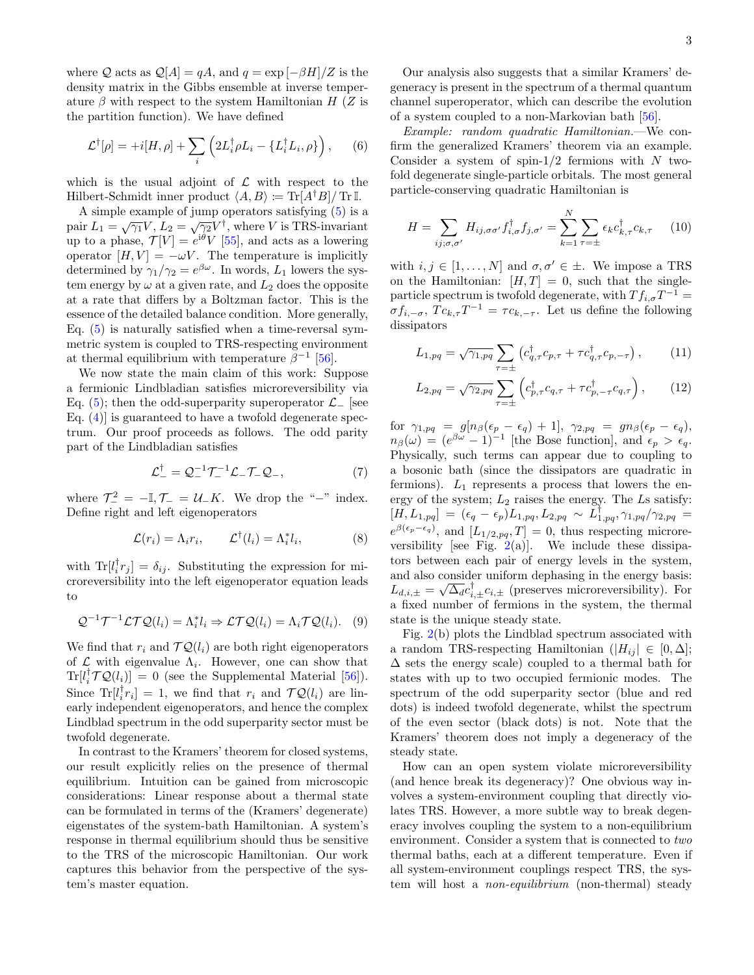where Q acts as  $\mathcal{Q}[A] = qA$ , and  $q = \exp[-\beta H]/Z$  is the density matrix in the Gibbs ensemble at inverse temperature  $\beta$  with respect to the system Hamiltonian H (Z is the partition function). We have defined

$$
\mathcal{L}^{\dagger}[\rho] = +i[H,\rho] + \sum_{i} \left( 2L_{i}^{\dagger} \rho L_{i} - \{L_{i}^{\dagger} L_{i}, \rho\} \right), \qquad (6)
$$

which is the usual adjoint of  $\mathcal L$  with respect to the Hilbert-Schmidt inner product  $\langle A, B \rangle := \text{Tr}[A^{\dagger}B]/\text{Tr} \mathbb{I}.$ 

A simple example of jump operators satisfying [\(5\)](#page-1-3) is a pair  $L_1 = \sqrt{\gamma_1} V, L_2 = \sqrt{\gamma_2} V^{\dagger}$ , where V is TRS-invariant up to a phase,  $\mathcal{T}[V] = e^{i\theta} V$  [\[55\]](#page-5-16), and acts as a lowering operator  $[H, V] = -\omega V$ . The temperature is implicitly determined by  $\gamma_1/\gamma_2 = e^{\beta \omega}$ . In words,  $L_1$  lowers the system energy by  $\omega$  at a given rate, and  $L_2$  does the opposite at a rate that differs by a Boltzman factor. This is the essence of the detailed balance condition. More generally, Eq.  $(5)$  is naturally satisfied when a time-reversal symmetric system is coupled to TRS-respecting environment at thermal equilibrium with temperature  $\beta^{-1}$  [\[56\]](#page-5-17).

We now state the main claim of this work: Suppose a fermionic Lindbladian satisfies microreversibility via Eq. [\(5\)](#page-1-3); then the odd-superparity superoperator  $\mathcal{L}_-$  [see Eq.  $(4)$  is guaranteed to have a twofold degenerate spectrum. Our proof proceeds as follows. The odd parity part of the Lindbladian satisfies

$$
\mathcal{L}_{-}^{\dagger} = \mathcal{Q}_{-}^{-1} \mathcal{T}_{-}^{-1} \mathcal{L}_{-} \mathcal{T}_{-} \mathcal{Q}_{-},\tag{7}
$$

where  $\mathcal{T}_-^2 = -\mathbb{I}, \mathcal{T}_- = \mathcal{U}_- K$ . We drop the "-" index. Define right and left eigenoperators

$$
\mathcal{L}(r_i) = \Lambda_i r_i, \qquad \mathcal{L}^\dagger(l_i) = \Lambda_i^* l_i, \tag{8}
$$

with  $\text{Tr}[l_i^{\dagger}r_j] = \delta_{ij}$ . Substituting the expression for microreversibility into the left eigenoperator equation leads to

$$
\mathcal{Q}^{-1}\mathcal{T}^{-1}\mathcal{L}\mathcal{T}\mathcal{Q}(l_i) = \Lambda_i^* l_i \Rightarrow \mathcal{L}\mathcal{T}\mathcal{Q}(l_i) = \Lambda_i \mathcal{T}\mathcal{Q}(l_i). \tag{9}
$$

We find that  $r_i$  and  $\mathcal{T} \mathcal{Q}(l_i)$  are both right eigenoperators of  $\mathcal L$  with eigenvalue  $\Lambda_i$ . However, one can show that  $\text{Tr}[l_i^{\dagger} \mathcal{T} \mathcal{Q}(l_i)] = 0$  (see the Supplemental Material [\[56\]](#page-5-17)). Since  $\text{Tr}[l_i^{\dagger}r_i] = 1$ , we find that  $r_i$  and  $\mathcal{T}\mathcal{Q}(l_i)$  are linearly independent eigenoperators, and hence the complex Lindblad spectrum in the odd superparity sector must be twofold degenerate.

In contrast to the Kramers' theorem for closed systems, our result explicitly relies on the presence of thermal equilibrium. Intuition can be gained from microscopic considerations: Linear response about a thermal state can be formulated in terms of the (Kramers' degenerate) eigenstates of the system-bath Hamiltonian. A system's response in thermal equilibrium should thus be sensitive to the TRS of the microscopic Hamiltonian. Our work captures this behavior from the perspective of the system's master equation.

Our analysis also suggests that a similar Kramers' degeneracy is present in the spectrum of a thermal quantum channel superoperator, which can describe the evolution of a system coupled to a non-Markovian bath [\[56\]](#page-5-17).

<span id="page-2-1"></span>Example: random quadratic Hamiltonian.—We confirm the generalized Kramers' theorem via an example. Consider a system of spin- $1/2$  fermions with N twofold degenerate single-particle orbitals. The most general particle-conserving quadratic Hamiltonian is

$$
H = \sum_{ij;\sigma,\sigma'} H_{ij,\sigma\sigma'} f_{i,\sigma}^{\dagger} f_{j,\sigma'} = \sum_{k=1}^{N} \sum_{\tau=\pm} \epsilon_k c_{k,\tau}^{\dagger} c_{k,\tau} \qquad (10)
$$

with  $i, j \in [1, \ldots, N]$  and  $\sigma, \sigma' \in \pm$ . We impose a TRS on the Hamiltonian:  $[H, T] = 0$ , such that the singleparticle spectrum is twofold degenerate, with  $Tf_{i,\sigma}T^{-1} =$  $\sigma f_{i,-\sigma}$ ,  $T c_{k,\tau} T^{-1} = \tau c_{k,-\tau}$ . Let us define the following dissipators

<span id="page-2-0"></span>
$$
L_{1,pq} = \sqrt{\gamma_{1,pq}} \sum_{\tau=\pm} \left( c_{q,\tau}^{\dagger} c_{p,\tau} + \tau c_{q,\tau}^{\dagger} c_{p,-\tau} \right), \qquad (11)
$$

$$
L_{2,pq} = \sqrt{\gamma_{2,pq}} \sum_{\tau=\pm} \left( c_{p,\tau}^{\dagger} c_{q,\tau} + \tau c_{p,-\tau}^{\dagger} c_{q,\tau} \right), \qquad (12)
$$

for  $\gamma_{1,pq} = g[n_\beta(\epsilon_p - \epsilon_q) + 1], \ \gamma_{2,pq} = gn_\beta(\epsilon_p - \epsilon_q),$  $n_{\beta}(\omega) = (e^{\beta \omega} - 1)^{-1}$  [the Bose function], and  $\epsilon_p > \epsilon_q$ . Physically, such terms can appear due to coupling to a bosonic bath (since the dissipators are quadratic in fermions).  $L_1$  represents a process that lowers the energy of the system;  $L_2$  raises the energy. The  $L_s$  satisfy:  $[H,L_{1,pq}] \ = \ (\epsilon_{q}-\epsilon_{p}) L_{1,pq}, L_{2,pq} \ \sim \ L_{1,pq}^{\intercal}, \gamma_{1,pq}/\gamma_{2,pq} \ =$  $e^{\beta(\epsilon_p-\epsilon_q)}$ , and  $[L_{1/2,pq},T]=0$ , thus respecting microreversibility [see Fig.  $2(a)$  $2(a)$ ]. We include these dissipators between each pair of energy levels in the system, and also consider uniform dephasing in the energy basis:  $L_{d,i,\pm} = \sqrt{\Delta_d} c_{i,\pm}^{\dagger} c_{i,\pm}$  (preserves microreversibility). For a fixed number of fermions in the system, the thermal state is the unique steady state.

Fig. [2\(](#page-3-1)b) plots the Lindblad spectrum associated with a random TRS-respecting Hamiltonian  $(|H_{ij}| \in [0, \Delta];$  $\Delta$  sets the energy scale) coupled to a thermal bath for states with up to two occupied fermionic modes. The spectrum of the odd superparity sector (blue and red dots) is indeed twofold degenerate, whilst the spectrum of the even sector (black dots) is not. Note that the Kramers' theorem does not imply a degeneracy of the steady state.

How can an open system violate microreversibility (and hence break its degeneracy)? One obvious way involves a system-environment coupling that directly violates TRS. However, a more subtle way to break degeneracy involves coupling the system to a non-equilibrium environment. Consider a system that is connected to two thermal baths, each at a different temperature. Even if all system-environment couplings respect TRS, the system will host a non-equilibrium (non-thermal) steady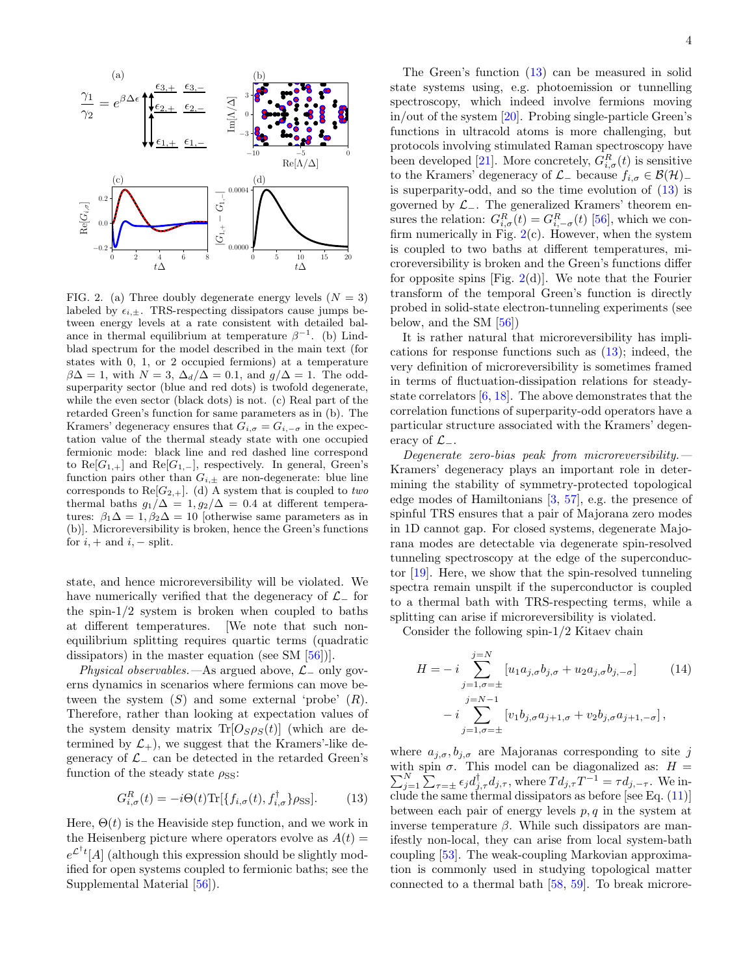

<span id="page-3-1"></span>FIG. 2. (a) Three doubly degenerate energy levels  $(N = 3)$ labeled by  $\epsilon_{i,\pm}$ . TRS-respecting dissipators cause jumps between energy levels at a rate consistent with detailed balance in thermal equilibrium at temperature  $\beta^{-1}$ . (b) Lindblad spectrum for the model described in the main text (for states with 0, 1, or 2 occupied fermions) at a temperature  $\beta\Delta = 1$ , with  $N = 3$ ,  $\Delta_d/\Delta = 0.1$ , and  $g/\Delta = 1$ . The oddsuperparity sector (blue and red dots) is twofold degenerate, while the even sector (black dots) is not. (c) Real part of the retarded Green's function for same parameters as in (b). The Kramers' degeneracy ensures that  $G_{i, \sigma} = G_{i, -\sigma}$  in the expectation value of the thermal steady state with one occupied fermionic mode: black line and red dashed line correspond to  $\text{Re}[G_{1,+}]$  and  $\text{Re}[G_{1,-}]$ , respectively. In general, Green's function pairs other than  $G_{i,\pm}$  are non-degenerate: blue line corresponds to  $\text{Re}[G_{2,+}]$ . (d) A system that is coupled to two thermal baths  $g_1/\Delta = 1, g_2/\Delta = 0.4$  at different temperatures:  $\beta_1 \Delta = 1$ ,  $\beta_2 \Delta = 10$  [otherwise same parameters as in (b)]. Microreversibility is broken, hence the Green's functions for  $i, +$  and  $i, -$  split.

state, and hence microreversibility will be violated. We have numerically verified that the degeneracy of  $\mathcal{L}_-$  for the spin- $1/2$  system is broken when coupled to baths at different temperatures. [We note that such nonequilibrium splitting requires quartic terms (quadratic dissipators) in the master equation (see SM [\[56\]](#page-5-17))].

Physical observables.—As argued above,  $\mathcal{L}_-$  only governs dynamics in scenarios where fermions can move between the system  $(S)$  and some external 'probe'  $(R)$ . Therefore, rather than looking at expectation values of the system density matrix  $\text{Tr}[O_S \rho_S(t)]$  (which are determined by  $\mathcal{L}_+$ , we suggest that the Kramers'-like degeneracy of  $\mathcal{L}_-$  can be detected in the retarded Green's function of the steady state  $\rho_{\rm SS}$ :

$$
G_{i,\sigma}^{R}(t) = -i\Theta(t)\text{Tr}[\{f_{i,\sigma}(t), f_{i,\sigma}^{\dagger}\}\rho_{\text{SS}}].\tag{13}
$$

Here,  $\Theta(t)$  is the Heaviside step function, and we work in the Heisenberg picture where operators evolve as  $A(t)$  =  $e^{\mathcal{L}^{\dagger}t}[A]$  (although this expression should be slightly modified for open systems coupled to fermionic baths; see the Supplemental Material [\[56\]](#page-5-17)).

The Green's function [\(13\)](#page-3-0) can be measured in solid state systems using, e.g. photoemission or tunnelling spectroscopy, which indeed involve fermions moving in/out of the system [\[20\]](#page-5-1). Probing single-particle Green's functions in ultracold atoms is more challenging, but protocols involving stimulated Raman spectroscopy have been developed [\[21\]](#page-5-2). More concretely,  $G_{i,\sigma}^{R}(t)$  is sensitive to the Kramers' degeneracy of  $\mathcal{L}_-$  because  $f_{i,\sigma} \in \mathcal{B}(\mathcal{H})_+$ is superparity-odd, and so the time evolution of  $(13)$  is governed by  $\mathcal{L}_-$ . The generalized Kramers' theorem ensures the relation:  $G_{i,\sigma}^R(t) = G_{i,-\sigma}^R(t)$  [\[56\]](#page-5-17), which we confirm numerically in Fig.  $2(c)$  $2(c)$ . However, when the system is coupled to two baths at different temperatures, microreversibility is broken and the Green's functions differ for opposite spins [Fig.  $2(d)$  $2(d)$ ]. We note that the Fourier transform of the temporal Green's function is directly probed in solid-state electron-tunneling experiments (see below, and the SM [\[56\]](#page-5-17))

It is rather natural that microreversibility has implications for response functions such as [\(13\)](#page-3-0); indeed, the very definition of microreversibility is sometimes framed in terms of fluctuation-dissipation relations for steadystate correlators [\[6,](#page-4-5) [18\]](#page-4-8). The above demonstrates that the correlation functions of superparity-odd operators have a particular structure associated with the Kramers' degeneracy of  $\mathcal{L}_-$ .

Degenerate zero-bias peak from microreversibility. $-$ Kramers' degeneracy plays an important role in determining the stability of symmetry-protected topological edge modes of Hamiltonians [\[3,](#page-4-2) [57\]](#page-5-18), e.g. the presence of spinful TRS ensures that a pair of Majorana zero modes in 1D cannot gap. For closed systems, degenerate Majorana modes are detectable via degenerate spin-resolved tunneling spectroscopy at the edge of the superconductor [\[19\]](#page-5-0). Here, we show that the spin-resolved tunneling spectra remain unspilt if the superconductor is coupled to a thermal bath with TRS-respecting terms, while a splitting can arise if microreversibility is violated.

Consider the following spin-1/2 Kitaev chain

<span id="page-3-2"></span>
$$
H = -i \sum_{j=1,\sigma=\pm}^{j=N} [u_1 a_{j,\sigma} b_{j,\sigma} + u_2 a_{j,\sigma} b_{j,-\sigma}] \qquad (14)
$$
  

$$
-i \sum_{j=1,\sigma=\pm}^{j=N-1} [v_1 b_{j,\sigma} a_{j+1,\sigma} + v_2 b_{j,\sigma} a_{j+1,-\sigma}],
$$

<span id="page-3-0"></span>where  $a_{j,\sigma}, b_{j,\sigma}$  are Majoranas corresponding to site j with spin  $\sigma$ . This model can be diagonalized as:  $H = \sum_{j=1}^{N} \sum_{\tau=\pm} \epsilon_j d_{j,\tau}^{\dagger} d_{j,\tau}$ , where  $Td_{j,\tau}T^{-1} = \tau d_{j,-\tau}$ . We include the same thermal dissipators as before [see Eq. [\(11\)](#page-2-0)] between each pair of energy levels  $p, q$  in the system at inverse temperature β. While such dissipators are manifestly non-local, they can arise from local system-bath coupling [\[53\]](#page-5-14). The weak-coupling Markovian approximation is commonly used in studying topological matter connected to a thermal bath [\[58,](#page-5-19) [59\]](#page-5-20). To break microre-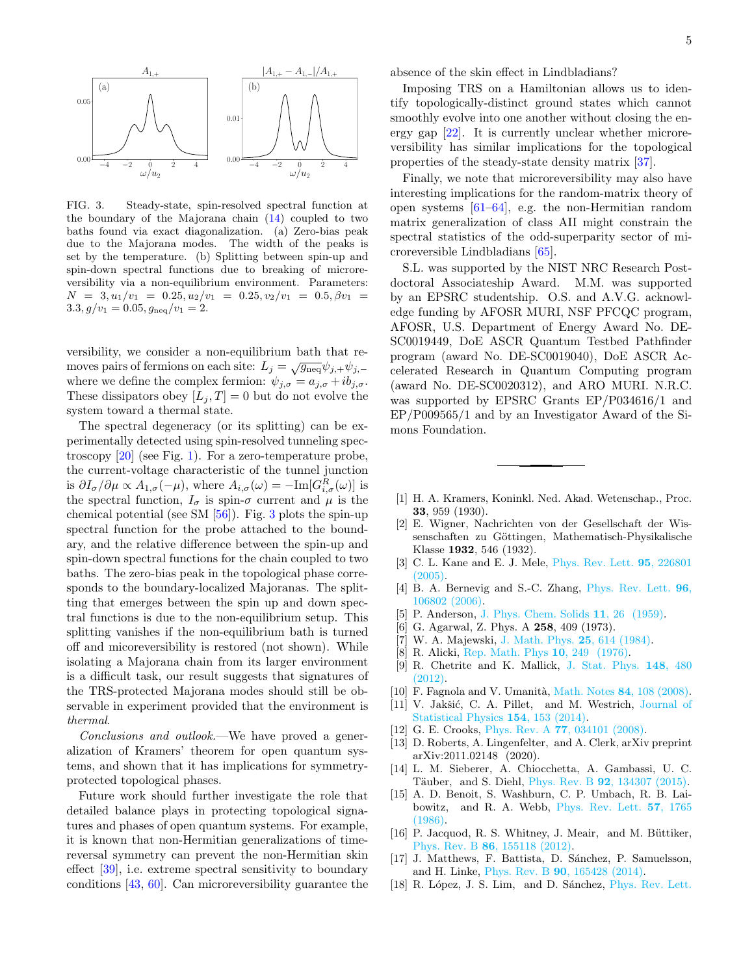

<span id="page-4-11"></span>FIG. 3. Steady-state, spin-resolved spectral function at the boundary of the Majorana chain [\(14\)](#page-3-2) coupled to two baths found via exact diagonalization. (a) Zero-bias peak due to the Majorana modes. The width of the peaks is set by the temperature. (b) Splitting between spin-up and spin-down spectral functions due to breaking of microreversibility via a non-equilibrium environment. Parameters:  $N = 3, u_1/v_1 = 0.25, u_2/v_1 = 0.25, v_2/v_1 = 0.5, \beta v_1 =$  $3.3, g/v_1 = 0.05, g_{neq}/v_1 = 2.$ 

versibility, we consider a non-equilibrium bath that removes pairs of fermions on each site:  $L_j = \sqrt{g_{\text{neq}}} \psi_{j,+} \psi_{j,-}$ where we define the complex fermion:  $\psi_{j,\sigma} = a_{j,\sigma} + ib_{j,\sigma}$ . These dissipators obey  $[L_j, T] = 0$  but do not evolve the system toward a thermal state.

The spectral degeneracy (or its splitting) can be experimentally detected using spin-resolved tunneling spectroscopy [\[20\]](#page-5-1) (see Fig. [1\)](#page-0-0). For a zero-temperature probe, the current-voltage characteristic of the tunnel junction is  $\partial I_{\sigma}/\partial \mu \propto A_{1,\sigma}(-\mu)$ , where  $A_{i,\sigma}(\omega) = -\text{Im}[G_{i,\sigma}^{R}(\omega)]$  is the spectral function,  $I_{\sigma}$  is spin- $\sigma$  current and  $\mu$  is the chemical potential (see SM  $[56]$ ). Fig. [3](#page-4-11) plots the spin-up spectral function for the probe attached to the boundary, and the relative difference between the spin-up and spin-down spectral functions for the chain coupled to two baths. The zero-bias peak in the topological phase corresponds to the boundary-localized Majoranas. The splitting that emerges between the spin up and down spectral functions is due to the non-equilibrium setup. This splitting vanishes if the non-equilibrium bath is turned off and micoreversibility is restored (not shown). While isolating a Majorana chain from its larger environment is a difficult task, our result suggests that signatures of the TRS-protected Majorana modes should still be observable in experiment provided that the environment is thermal.

Conclusions and outlook.—We have proved a generalization of Kramers' theorem for open quantum systems, and shown that it has implications for symmetryprotected topological phases.

Future work should further investigate the role that detailed balance plays in protecting topological signatures and phases of open quantum systems. For example, it is known that non-Hermitian generalizations of timereversal symmetry can prevent the non-Hermitian skin effect [\[39\]](#page-5-7), i.e. extreme spectral sensitivity to boundary conditions [\[43,](#page-5-21) [60\]](#page-5-22). Can microreversibility guarantee the

Imposing TRS on a Hamiltonian allows us to identify topologically-distinct ground states which cannot smoothly evolve into one another without closing the energy gap [\[22\]](#page-5-3). It is currently unclear whether microreversibility has similar implications for the topological properties of the steady-state density matrix [\[37\]](#page-5-23).

Finally, we note that microreversibility may also have interesting implications for the random-matrix theory of open systems [\[61–](#page-5-24)[64\]](#page-5-25), e.g. the non-Hermitian random matrix generalization of class AII might constrain the spectral statistics of the odd-superparity sector of microreversible Lindbladians [\[65\]](#page-5-26).

S.L. was supported by the NIST NRC Research Postdoctoral Associateship Award. M.M. was supported by an EPSRC studentship. O.S. and A.V.G. acknowledge funding by AFOSR MURI, NSF PFCQC program, AFOSR, U.S. Department of Energy Award No. DE-SC0019449, DoE ASCR Quantum Testbed Pathfinder program (award No. DE-SC0019040), DoE ASCR Accelerated Research in Quantum Computing program (award No. DE-SC0020312), and ARO MURI. N.R.C. was supported by EPSRC Grants EP/P034616/1 and EP/P009565/1 and by an Investigator Award of the Simons Foundation.

- <span id="page-4-0"></span>[1] H. A. Kramers, Koninkl. Ned. Akad. Wetenschap., Proc. 33, 959 (1930).
- <span id="page-4-1"></span>[2] E. Wigner, Nachrichten von der Gesellschaft der Wissenschaften zu Göttingen, Mathematisch-Physikalische Klasse 1932, 546 (1932).
- <span id="page-4-2"></span>[3] C. L. Kane and E. J. Mele, [Phys. Rev. Lett.](http://dx.doi.org/10.1103/PhysRevLett.95.226801) **95**, 226801 [\(2005\).](http://dx.doi.org/10.1103/PhysRevLett.95.226801)
- <span id="page-4-3"></span>[4] B. A. Bernevig and S.-C. Zhang, [Phys. Rev. Lett.](http://dx.doi.org/10.1103/PhysRevLett.96.106802) 96, [106802 \(2006\).](http://dx.doi.org/10.1103/PhysRevLett.96.106802)
- <span id="page-4-4"></span>[5] P. Anderson, [J. Phys. Chem. Solids](http://dx.doi.org/https://doi.org/10.1016/0022-3697(59)90036-8) 11, 26 (1959).
- <span id="page-4-5"></span>[6] G. Agarwal, Z. Phys. A **258**, 409 (1973).
- <span id="page-4-9"></span>[7] W. A. Majewski, [J. Math. Phys.](http://dx.doi.org/10.1063/1.526164) 25, 614 (1984).
- [8] R. Alicki, [Rep. Math. Phys](http://dx.doi.org/https://doi.org/10.1016/0034-4877(76)90046-X) 10, 249 (1976).
- <span id="page-4-10"></span>[9] R. Chetrite and K. Mallick, [J. Stat. Phys.](https://doi.org/10.1007/s10955-012-0557-z) 148, 480 [\(2012\).](https://doi.org/10.1007/s10955-012-0557-z)
- [10] F. Fagnola and V. Umanità, [Math. Notes](http://dx.doi.org/10.1134/S0001434608070092) 84, 108 (2008).
- [11] V. Jakšić, C. A. Pillet, and M. Westrich, [Journal of](http://dx.doi.org/10.1007/s10955-013-0826-5) [Statistical Physics](http://dx.doi.org/10.1007/s10955-013-0826-5) 154, 153 (2014).
- [12] G. E. Crooks, Phys. Rev. A 77[, 034101 \(2008\).](http://dx.doi.org/10.1103/PhysRevA.77.034101)
- [13] D. Roberts, A. Lingenfelter, and A. Clerk, arXiv preprint arXiv:2011.02148 (2020).
- <span id="page-4-6"></span>[14] L. M. Sieberer, A. Chiocchetta, A. Gambassi, U. C. Täuber, and S. Diehl, Phys. Rev. B **92**[, 134307 \(2015\).](http://dx.doi.org/10.1103/PhysRevB.92.134307)
- <span id="page-4-7"></span>[15] A. D. Benoit, S. Washburn, C. P. Umbach, R. B. Laibowitz, and R. A. Webb, [Phys. Rev. Lett.](http://dx.doi.org/ 10.1103/PhysRevLett.57.1765) 57, 1765 [\(1986\).](http://dx.doi.org/ 10.1103/PhysRevLett.57.1765)
- [16] P. Jacquod, R. S. Whitney, J. Meair, and M. Büttiker, Phys. Rev. B 86[, 155118 \(2012\).](http://dx.doi.org/10.1103/PhysRevB.86.155118)
- [17] J. Matthews, F. Battista, D. Sánchez, P. Samuelsson, and H. Linke, Phys. Rev. B 90[, 165428 \(2014\).](http://dx.doi.org/ 10.1103/PhysRevB.90.165428)
- <span id="page-4-8"></span>[18] R. López, J. S. Lim, and D. Sánchez, [Phys. Rev. Lett.](http://dx.doi.org/10.1103/PhysRevLett.108.246603)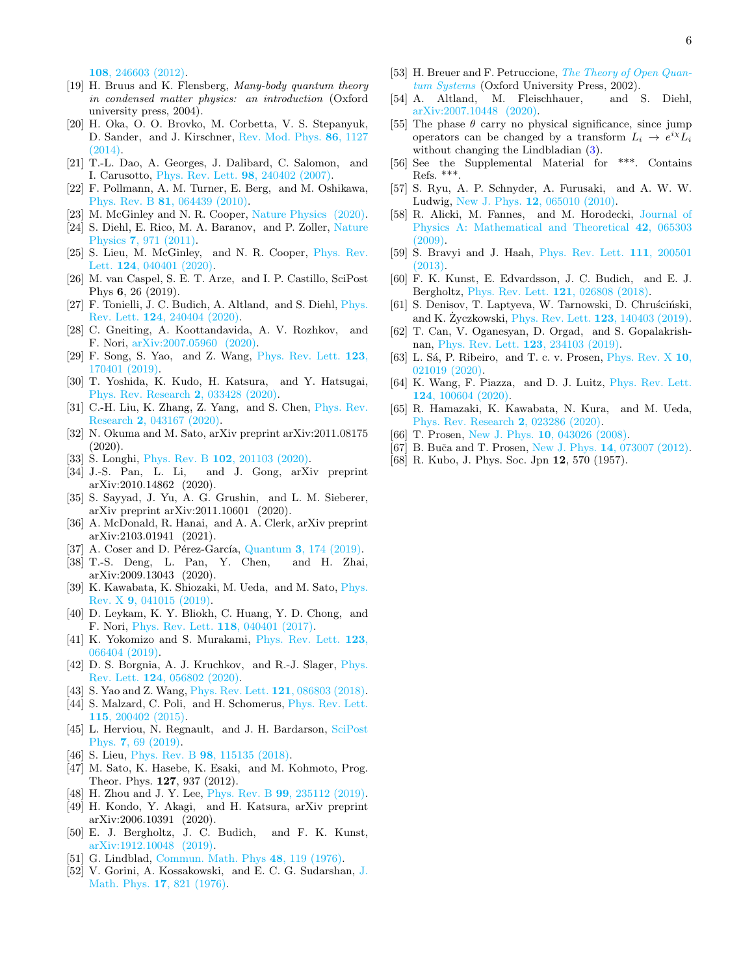108[, 246603 \(2012\).](http://dx.doi.org/10.1103/PhysRevLett.108.246603)

- <span id="page-5-0"></span>[19] H. Bruus and K. Flensberg, Many-body quantum theory in condensed matter physics: an introduction (Oxford university press, 2004).
- <span id="page-5-1"></span>[20] H. Oka, O. O. Brovko, M. Corbetta, V. S. Stepanyuk, D. Sander, and J. Kirschner, [Rev. Mod. Phys.](http://dx.doi.org/ 10.1103/RevModPhys.86.1127) 86, 1127  $(2014).$
- <span id="page-5-2"></span>[21] T.-L. Dao, A. Georges, J. Dalibard, C. Salomon, and I. Carusotto, [Phys. Rev. Lett.](http://dx.doi.org/ 10.1103/PhysRevLett.98.240402) 98, 240402 (2007).
- <span id="page-5-3"></span>[22] F. Pollmann, A. M. Turner, E. Berg, and M. Oshikawa, Phys. Rev. B 81[, 064439 \(2010\).](http://dx.doi.org/10.1103/PhysRevB.81.064439)
- <span id="page-5-4"></span>[23] M. McGinley and N. R. Cooper, [Nature Physics \(2020\).](https://doi.org/10.1038/s41567-020-0956-z)
- <span id="page-5-5"></span>[24] S. Diehl, E. Rico, M. A. Baranov, and P. Zoller, [Nature](http://dx.doi.org/10.1038/nphys2106) Physics 7[, 971 \(2011\).](http://dx.doi.org/10.1038/nphys2106)
- [25] S. Lieu, M. McGinley, and N. R. Cooper, [Phys. Rev.](http://dx.doi.org/10.1103/PhysRevLett.124.040401) Lett. 124[, 040401 \(2020\).](http://dx.doi.org/10.1103/PhysRevLett.124.040401)
- <span id="page-5-27"></span>[26] M. van Caspel, S. E. T. Arze, and I. P. Castillo, SciPost Phys 6, 26 (2019).
- [27] F. Tonielli, J. C. Budich, A. Altland, and S. Diehl, [Phys.](http://dx.doi.org/10.1103/PhysRevLett.124.240404) Rev. Lett. 124[, 240404 \(2020\).](http://dx.doi.org/10.1103/PhysRevLett.124.240404)
- [28] C. Gneiting, A. Koottandavida, A. V. Rozhkov, and F. Nori, [arXiv:2007.05960 \(2020\).](https://arxiv.org/abs/2007.05960)
- [29] F. Song, S. Yao, and Z. Wang, [Phys. Rev. Lett.](http://dx.doi.org/ 10.1103/PhysRevLett.123.170401) 123, [170401 \(2019\).](http://dx.doi.org/ 10.1103/PhysRevLett.123.170401)
- [30] T. Yoshida, K. Kudo, H. Katsura, and Y. Hatsugai, [Phys. Rev. Research](http://dx.doi.org/10.1103/PhysRevResearch.2.033428) 2, 033428 (2020).
- [31] C.-H. Liu, K. Zhang, Z. Yang, and S. Chen, [Phys. Rev.](http://dx.doi.org/ 10.1103/PhysRevResearch.2.043167) Research 2[, 043167 \(2020\).](http://dx.doi.org/ 10.1103/PhysRevResearch.2.043167)
- [32] N. Okuma and M. Sato, arXiv preprint arXiv:2011.08175  $(2020)$ .
- [33] S. Longhi, Phys. Rev. B **102**[, 201103 \(2020\).](http://dx.doi.org/10.1103/PhysRevB.102.201103)
- [34] J.-S. Pan, L. Li, and J. Gong, arXiv preprint arXiv:2010.14862 (2020).
- [35] S. Sayyad, J. Yu, A. G. Grushin, and L. M. Sieberer, arXiv preprint arXiv:2011.10601 (2020).
- [36] A. McDonald, R. Hanai, and A. A. Clerk, arXiv preprint arXiv:2103.01941 (2021).
- <span id="page-5-23"></span>[37] A. Coser and D. Pérez-García, Quantum 3, 174  $(2019)$ .
- <span id="page-5-6"></span>[38] T.-S. Deng, L. Pan, Y. Chen, and H. Zhai, arXiv:2009.13043 (2020).
- <span id="page-5-7"></span>[39] K. Kawabata, K. Shiozaki, M. Ueda, and M. Sato, [Phys.](http://dx.doi.org/ 10.1103/PhysRevX.9.041015) Rev. X 9[, 041015 \(2019\).](http://dx.doi.org/ 10.1103/PhysRevX.9.041015)
- [40] D. Leykam, K. Y. Bliokh, C. Huang, Y. D. Chong, and F. Nori, [Phys. Rev. Lett.](http://dx.doi.org/ 10.1103/PhysRevLett.118.040401) 118, 040401 (2017).
- [41] K. Yokomizo and S. Murakami, [Phys. Rev. Lett.](http://dx.doi.org/10.1103/PhysRevLett.123.066404) 123, [066404 \(2019\).](http://dx.doi.org/10.1103/PhysRevLett.123.066404)
- [42] D. S. Borgnia, A. J. Kruchkov, and R.-J. Slager, [Phys.](http://dx.doi.org/10.1103/PhysRevLett.124.056802) Rev. Lett. 124[, 056802 \(2020\).](http://dx.doi.org/10.1103/PhysRevLett.124.056802)
- <span id="page-5-21"></span>[43] S. Yao and Z. Wang, [Phys. Rev. Lett.](http://dx.doi.org/10.1103/PhysRevLett.121.086803) **121**, 086803 (2018).
- [44] S. Malzard, C. Poli, and H. Schomerus, [Phys. Rev. Lett.](http://dx.doi.org/10.1103/PhysRevLett.115.200402) 115[, 200402 \(2015\).](http://dx.doi.org/10.1103/PhysRevLett.115.200402)
- [45] L. Herviou, N. Regnault, and J. H. Bardarson, [SciPost](http://dx.doi.org/10.21468/SciPostPhys.7.5.069) Phys. 7[, 69 \(2019\).](http://dx.doi.org/10.21468/SciPostPhys.7.5.069)
- <span id="page-5-8"></span>[46] S. Lieu, Phys. Rev. B **98**[, 115135 \(2018\).](http://dx.doi.org/10.1103/PhysRevB.98.115135)
- <span id="page-5-9"></span>[47] M. Sato, K. Hasebe, K. Esaki, and M. Kohmoto, Prog. Theor. Phys. 127, 937 (2012).
- [48] H. Zhou and J. Y. Lee, Phys. Rev. B 99[, 235112 \(2019\).](http://dx.doi.org/10.1103/PhysRevB.99.235112)
- <span id="page-5-10"></span>[49] H. Kondo, Y. Akagi, and H. Katsura, arXiv preprint arXiv:2006.10391 (2020).
- <span id="page-5-11"></span>[50] E. J. Bergholtz, J. C. Budich, and F. K. Kunst, [arXiv:1912.10048 \(2019\).](https://arxiv.org/abs/1912.10048)
- <span id="page-5-12"></span>[51] G. Lindblad, [Commun. Math. Phys](https://link.springer.com/article/10.1007/BF01608499) 48, 119 (1976).
- <span id="page-5-13"></span>[52] V. Gorini, A. Kossakowski, and E. C. G. Sudarshan, [J.](http://dx.doi.org/10.1063/1.522979) [Math. Phys.](http://dx.doi.org/10.1063/1.522979) 17, 821 (1976).
- <span id="page-5-14"></span>[53] H. Breuer and F. Petruccione, *The Theory of Open Quan*[tum Systems](https://books.google.co.uk/books?id=w2UOnwEACAAJ) (Oxford University Press, 2002).
- <span id="page-5-15"></span>[54] A. Altland, M. Fleischhauer, and S. Diehl, [arXiv:2007.10448 \(2020\).](https://arxiv.org/abs/2007.10448)
- <span id="page-5-16"></span>[55] The phase  $\theta$  carry no physical significance, since jump operators can be changed by a transform  $L_i \rightarrow e^{i\chi} L_i$ without changing the Lindbladian  $(3)$ .
- <span id="page-5-17"></span>[56] See the Supplemental Material for \*\*\*. Contains Refs. \*\*\*.
- <span id="page-5-18"></span>[57] S. Ryu, A. P. Schnyder, A. Furusaki, and A. W. W. Ludwig, New J. Phys. 12[, 065010 \(2010\).](http://dx.doi.org/10.1088/1367-2630/12/6/065010)
- <span id="page-5-19"></span>[58] R. Alicki, M. Fannes, and M. Horodecki, [Journal of](http://dx.doi.org/10.1088/1751-8113/42/6/065303) [Physics A: Mathematical and Theoretical](http://dx.doi.org/10.1088/1751-8113/42/6/065303) 42, 065303  $(2009)$ .
- <span id="page-5-20"></span>[59] S. Bravyi and J. Haah, [Phys. Rev. Lett.](http://dx.doi.org/10.1103/PhysRevLett.111.200501) 111, 200501 [\(2013\).](http://dx.doi.org/10.1103/PhysRevLett.111.200501)
- <span id="page-5-22"></span>[60] F. K. Kunst, E. Edvardsson, J. C. Budich, and E. J. Bergholtz, [Phys. Rev. Lett.](http://dx.doi.org/10.1103/PhysRevLett.121.026808) 121, 026808 (2018).
- <span id="page-5-24"></span>[61] S. Denisov, T. Laptyeva, W. Tarnowski, D. Chruściński, and K.  $\dot{Z}$ yczkowski, [Phys. Rev. Lett.](http://dx.doi.org/10.1103/PhysRevLett.123.140403) **123**, 140403 (2019).
- [62] T. Can, V. Oganesyan, D. Orgad, and S. Gopalakrishnan, [Phys. Rev. Lett.](http://dx.doi.org/10.1103/PhysRevLett.123.234103) 123, 234103 (2019).
- [63] L. Sá, P. Ribeiro, and T. c. v. Prosen, [Phys. Rev. X](http://dx.doi.org/10.1103/PhysRevX.10.021019) 10, [021019 \(2020\).](http://dx.doi.org/10.1103/PhysRevX.10.021019)
- <span id="page-5-25"></span>[64] K. Wang, F. Piazza, and D. J. Luitz, [Phys. Rev. Lett.](http://dx.doi.org/10.1103/PhysRevLett.124.100604) 124[, 100604 \(2020\).](http://dx.doi.org/10.1103/PhysRevLett.124.100604)
- <span id="page-5-26"></span>[65] R. Hamazaki, K. Kawabata, N. Kura, and M. Ueda, [Phys. Rev. Research](http://dx.doi.org/ 10.1103/PhysRevResearch.2.023286) 2, 023286 (2020).
- <span id="page-5-28"></span>[66] T. Prosen, New J. Phys. **10**[, 043026 \(2008\).](https://iopscience.iop.org/article/10.1088/1367-2630/10/4/043026/meta)
- <span id="page-5-29"></span>[67] B. Buča and T. Prosen, New J. Phys. 14[, 073007 \(2012\).](http://dx.doi.org/10.1088/1367-2630/14/7/073007)
- <span id="page-5-30"></span>[68] R. Kubo, J. Phys. Soc. Jpn 12, 570 (1957).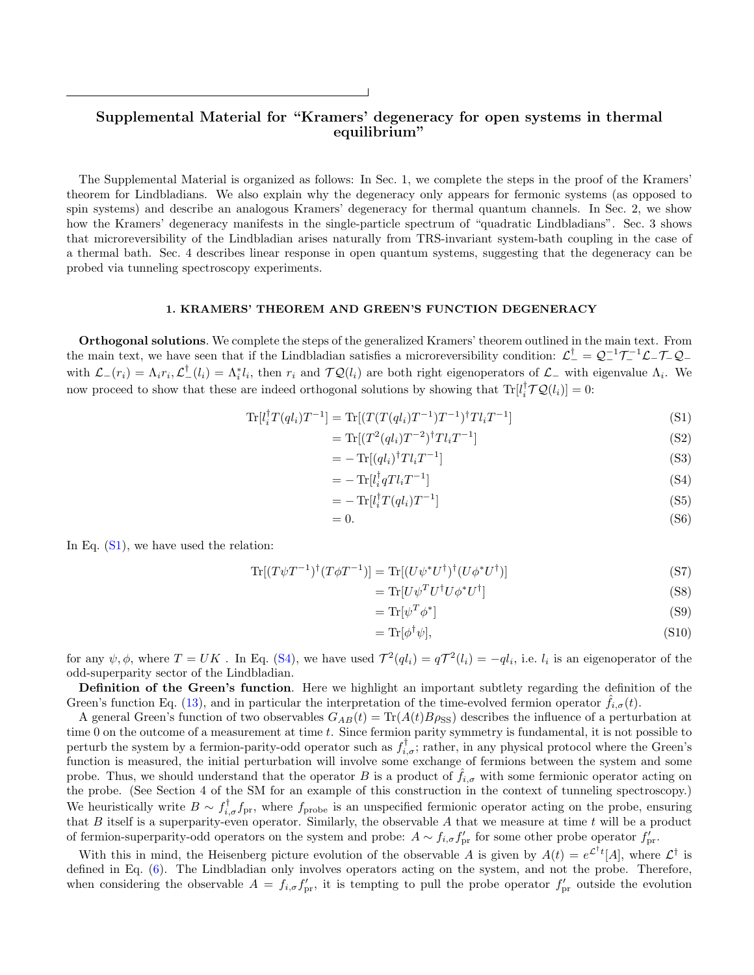# Supplemental Material for "Kramers' degeneracy for open systems in thermal equilibrium"

The Supplemental Material is organized as follows: In Sec. 1, we complete the steps in the proof of the Kramers' theorem for Lindbladians. We also explain why the degeneracy only appears for fermonic systems (as opposed to spin systems) and describe an analogous Kramers' degeneracy for thermal quantum channels. In Sec. 2, we show how the Kramers' degeneracy manifests in the single-particle spectrum of "quadratic Lindbladians". Sec. 3 shows that microreversibility of the Lindbladian arises naturally from TRS-invariant system-bath coupling in the case of a thermal bath. Sec. 4 describes linear response in open quantum systems, suggesting that the degeneracy can be probed via tunneling spectroscopy experiments.

### 1. KRAMERS' THEOREM AND GREEN'S FUNCTION DEGENERACY

Orthogonal solutions. We complete the steps of the generalized Kramers' theorem outlined in the main text. From the main text, we have seen that if the Lindbladian satisfies a microreversibility condition:  $\mathcal{L}^{\dagger} = \mathcal{Q}^{-1} \mathcal{T}^{-1} \mathcal{L} - \mathcal{T} - \mathcal{Q}$ with  $\mathcal{L}^-(r_i) = \Lambda_i r_i$ ,  $\mathcal{L}^{\dagger}^-(l_i) = \Lambda_i^* l_i$ , then  $r_i$  and  $\mathcal{T} \mathcal{Q}(l_i)$  are both right eigenoperators of  $\mathcal{L}^-$  with eigenvalue  $\Lambda_i$ . We now proceed to show that these are indeed orthogonal solutions by showing that  $\text{Tr}[l_i^{\dagger} \mathcal{T} \mathcal{Q}(l_i)] = 0$ :

$$
\text{Tr}[l_i^{\dagger} T(q l_i) T^{-1}] = \text{Tr}[(T(T(q l_i) T^{-1}) T^{-1})^{\dagger} T l_i T^{-1}] \tag{S1}
$$

$$
= \text{Tr}\left[ (T^2(ql_i)T^{-2})^\dagger T l_i T^{-1} \right] \tag{S2}
$$

$$
= -\operatorname{Tr}[(ql_i)^{\dagger} T l_i T^{-1}] \tag{S3}
$$

$$
=-\operatorname{Tr}[l_i^{\dagger}qTl_iT^{-1}]
$$
\n
$$
\tag{S4}
$$

$$
= -\operatorname{Tr}[l_i^{\dagger} T(q l_i) T^{-1}] \tag{S5}
$$

$$
=0.\t(56)
$$

In Eq.  $(S1)$ , we have used the relation:

$$
\operatorname{Tr}[(T\psi T^{-1})^{\dagger}(T\phi T^{-1})] = \operatorname{Tr}[(U\psi^*U^{\dagger})^{\dagger}(U\phi^*U^{\dagger})] \tag{S7}
$$

$$
= \text{Tr}[U\psi^T U^\dagger U\phi^* U^\dagger] \tag{S8}
$$

$$
= \text{Tr}[\psi^T \phi^*] \tag{S9}
$$

$$
= \text{Tr}[\phi^{\dagger}\psi],\tag{S10}
$$

for any  $\psi, \phi$ , where  $T = UK$ . In Eq. [\(S4\)](#page-1-4), we have used  $\mathcal{T}^2(ql_i) = q\mathcal{T}^2(l_i) = -ql_i$ , i.e.  $l_i$  is an eigenoperator of the odd-superparity sector of the Lindbladian.

Definition of the Green's function. Here we highlight an important subtlety regarding the definition of the Green's function Eq. [\(13\)](#page-3-0), and in particular the interpretation of the time-evolved fermion operator  $\hat{f}_{i,\sigma}(t)$ .

A general Green's function of two observables  $G_{AB}(t) = \text{Tr}(A(t)B\rho_{SS})$  describes the influence of a perturbation at time 0 on the outcome of a measurement at time  $t$ . Since fermion parity symmetry is fundamental, it is not possible to perturb the system by a fermion-parity-odd operator such as  $f_{i,\sigma}^{\dagger}$ ; rather, in any physical protocol where the Green's function is measured, the initial perturbation will involve some exchange of fermions between the system and some probe. Thus, we should understand that the operator B is a product of  $f_{i,\sigma}$  with some fermionic operator acting on the probe. (See Section 4 of the SM for an example of this construction in the context of tunneling spectroscopy.) We heuristically write  $B \sim f_{i,\sigma}^{\dagger} f_{pr}$ , where  $f_{probe}$  is an unspecified fermionic operator acting on the probe, ensuring that  $B$  itself is a superparity-even operator. Similarly, the observable  $A$  that we measure at time  $t$  will be a product of fermion-superparity-odd operators on the system and probe:  $A \sim f_{i,\sigma} f'_{pr}$  for some other probe operator  $f'_{pr}$ .

With this in mind, the Heisenberg picture evolution of the observable A is given by  $A(t) = e^{\mathcal{L}^{\dagger}t}[A]$ , where  $\mathcal{L}^{\dagger}$  is defined in Eq. [\(6\)](#page-2-1). The Lindbladian only involves operators acting on the system, and not the probe. Therefore, when considering the observable  $A = f_{i,\sigma} f'_{pr}$ , it is tempting to pull the probe operator  $f'_{pr}$  outside the evolution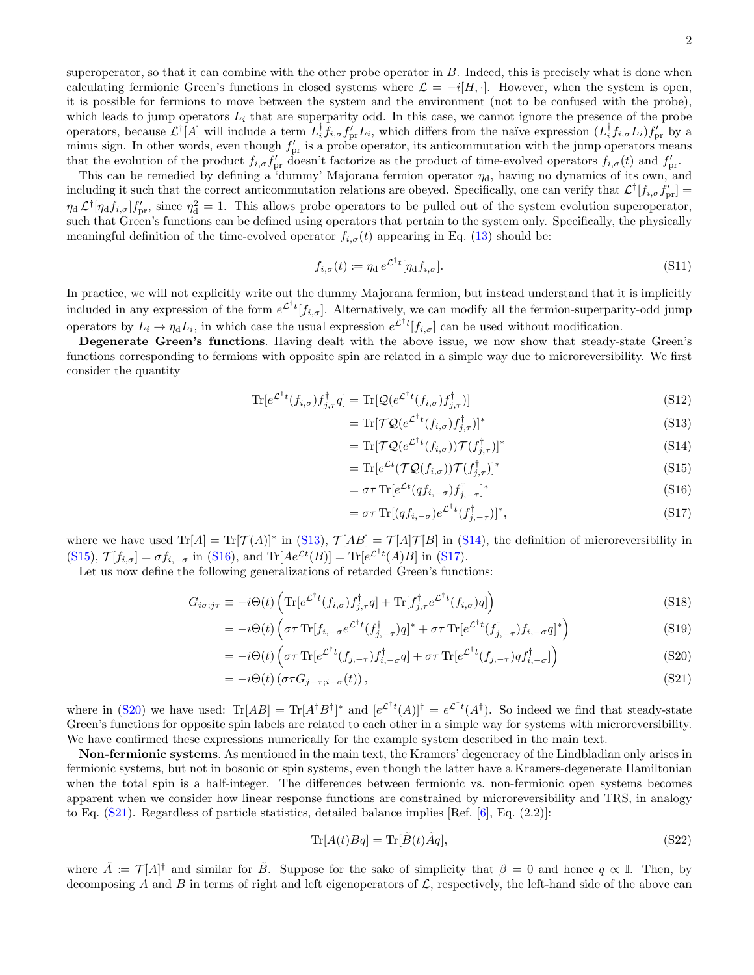This can be remedied by defining a 'dummy' Majorana fermion operator  $\eta_d$ , having no dynamics of its own, and including it such that the correct anticommutation relations are obeyed. Specifically, one can verify that  $\mathcal{L}^{\dagger}[f_{i,\sigma}f'_{\text{pr}}] =$  $\eta_d \mathcal{L}^\dagger[\eta_d f_{i,\sigma}] f'_{\text{pr}},$  since  $\eta_d^2 = 1$ . This allows probe operators to be pulled out of the system evolution superoperator, such that Green's functions can be defined using operators that pertain to the system only. Specifically, the physically meaningful definition of the time-evolved operator  $f_{i,\sigma}(t)$  appearing in Eq. [\(13\)](#page-3-0) should be:

$$
f_{i,\sigma}(t) := \eta_{\rm d} \, e^{\mathcal{L}^\dagger t} [\eta_{\rm d} f_{i,\sigma}]. \tag{S11}
$$

In practice, we will not explicitly write out the dummy Majorana fermion, but instead understand that it is implicitly included in any expression of the form  $e^{\mathcal{L}^\dagger t}[f_{i,\sigma}]$ . Alternatively, we can modify all the fermion-superparity-odd jump operators by  $L_i \to \eta_d L_i$ , in which case the usual expression  $e^{\mathcal{L}^\dagger t}[f_{i,\sigma}]$  can be used without modification.

Degenerate Green's functions. Having dealt with the above issue, we now show that steady-state Green's functions corresponding to fermions with opposite spin are related in a simple way due to microreversibility. We first consider the quantity

$$
\text{Tr}[e^{\mathcal{L}^\dagger t}(f_{i,\sigma})f_{j,\tau}^\dagger q] = \text{Tr}[\mathcal{Q}(e^{\mathcal{L}^\dagger t}(f_{i,\sigma})f_{j,\tau}^\dagger)]
$$
\n(S12)

$$
= \text{Tr}[\mathcal{T}\mathcal{Q}(e^{\mathcal{L}^\dagger t}(f_{i,\sigma})f_{j,\tau}^\dagger)]^* \tag{S13}
$$

$$
= \text{Tr}[\mathcal{T}\mathcal{Q}(e^{\mathcal{L}^\dagger t}(f_{i,\sigma}))\mathcal{T}(f_{j,\tau}^\dagger)]^* \tag{S14}
$$

<span id="page-7-1"></span><span id="page-7-0"></span>
$$
= \text{Tr}[e^{\mathcal{L}t}(\mathcal{T}\mathcal{Q}(f_{i,\sigma}))\mathcal{T}(f_{j,\tau}^{\dagger})]^* \tag{S15}
$$

$$
= \sigma \tau \operatorname{Tr} \left[ e^{\mathcal{L}t} (q f_{i,-\sigma}) f_{j,-\tau}^{\dagger} \right]^* \tag{S16}
$$

<span id="page-7-4"></span><span id="page-7-3"></span><span id="page-7-2"></span>
$$
= \sigma \tau \operatorname{Tr}[(qf_{i,-\sigma})e^{\mathcal{L}^\dagger t}(f_{j,-\tau}^\dagger)]^*,
$$
\n(S17)

where we have used  $\text{Tr}[A] = \text{Tr}[\mathcal{T}(A)]^*$  in [\(S13\)](#page-3-0),  $\mathcal{T}[AB] = \mathcal{T}[A]\mathcal{T}[B]$  in [\(S14\)](#page-3-2), the definition of microreversibility in [\(S15\)](#page-7-0),  $\mathcal{T}[f_{i,\sigma}] = \sigma f_{i,-\sigma}$  in [\(S16\)](#page-7-1), and  $\text{Tr}[Ae^{\mathcal{L}t}(B)] = \text{Tr}[e^{\mathcal{L}^{\dagger}t}(A)B]$  in [\(S17\)](#page-7-2).

Let us now define the following generalizations of retarded Green's functions:

$$
G_{i\sigma;j\tau} \equiv -i\Theta(t) \left( \text{Tr} \left[ e^{\mathcal{L}^\dagger t} (f_{i,\sigma}) f_{j,\tau}^\dagger q \right] + \text{Tr} \left[ f_{j,\tau}^\dagger e^{\mathcal{L}^\dagger t} (f_{i,\sigma}) q \right] \right) \tag{S18}
$$

$$
= -i\Theta(t) \left(\sigma \tau \operatorname{Tr}[f_{i,-\sigma}e^{\mathcal{L}^{\dagger}t}(f_{j,-\tau}^{\dagger})q]^{*} + \sigma \tau \operatorname{Tr}[e^{\mathcal{L}^{\dagger}t}(f_{j,-\tau}^{\dagger})f_{i,-\sigma}q]^{*}\right)
$$
(S19)

$$
= -i\Theta(t)\left(\sigma\tau\operatorname{Tr}[e^{\mathcal{L}^\dagger t}(f_{j,-\tau})f_{i,-\sigma}^\dagger q] + \sigma\tau\operatorname{Tr}[e^{\mathcal{L}^\dagger t}(f_{j,-\tau})qf_{i,-\sigma}^\dagger]\right) \tag{S20}
$$

$$
= -i\Theta(t) \left(\sigma \tau G_{j-\tau;i-\sigma}(t)\right),\tag{S21}
$$

where in [\(S20\)](#page-7-3) we have used:  $\text{Tr}[AB] = \text{Tr}[A^{\dagger}B^{\dagger}]^*$  and  $[e^{\mathcal{L}^{\dagger}t}(A)]^{\dagger} = e^{\mathcal{L}^{\dagger}t}(A^{\dagger})$ . So indeed we find that steady-state Green's functions for opposite spin labels are related to each other in a simple way for systems with microreversibility. We have confirmed these expressions numerically for the example system described in the main text.

Non-fermionic systems. As mentioned in the main text, the Kramers' degeneracy of the Lindbladian only arises in fermionic systems, but not in bosonic or spin systems, even though the latter have a Kramers-degenerate Hamiltonian when the total spin is a half-integer. The differences between fermionic vs. non-fermionic open systems becomes apparent when we consider how linear response functions are constrained by microreversibility and TRS, in analogy to Eq.  $(S21)$ . Regardless of particle statistics, detailed balance implies [Ref.  $[6]$ , Eq.  $(2.2)$ ]:

<span id="page-7-5"></span>
$$
\text{Tr}[A(t)Bq] = \text{Tr}[\tilde{B}(t)\tilde{A}q],\tag{S22}
$$

where  $\tilde{A} := \mathcal{T}[A]^{\dagger}$  and similar for  $\tilde{B}$ . Suppose for the sake of simplicity that  $\beta = 0$  and hence  $q \propto \mathbb{I}$ . Then, by decomposing A and B in terms of right and left eigenoperators of  $\mathcal{L}$ , respectively, the left-hand side of the above can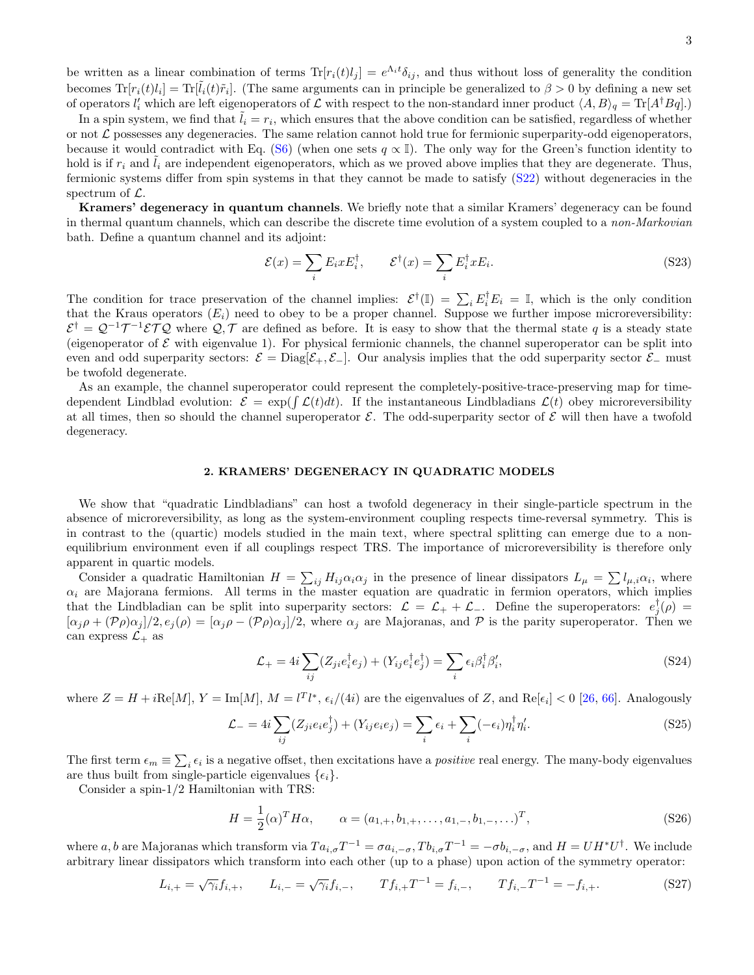be written as a linear combination of terms  $\text{Tr}[r_i(t)l_j] = e^{\Lambda_i t} \delta_{ij}$ , and thus without loss of generality the condition becomes  $\text{Tr}[r_i(t)l_i] = \text{Tr}[\tilde{l}_i(t)\tilde{r}_i]$ . (The same arguments can in principle be generalized to  $\beta > 0$  by defining a new set of operators  $l'_i$  which are left eigenoperators of  $\mathcal L$  with respect to the non-standard inner product  $\langle A, B \rangle_q = \text{Tr}[A^{\dagger}Bq].$ 

In a spin system, we find that  $\tilde{l}_i = r_i$ , which ensures that the above condition can be satisfied, regardless of whether or not  $\mathcal L$  possesses any degeneracies. The same relation cannot hold true for fermionic superparity-odd eigenoperators, because it would contradict with Eq. [\(S6\)](#page-2-1) (when one sets  $q \propto \mathbb{I}$ ). The only way for the Green's function identity to hold is if  $r_i$  and  $l_i$  are independent eigenoperators, which as we proved above implies that they are degenerate. Thus, fermionic systems differ from spin systems in that they cannot be made to satisfy [\(S22\)](#page-7-5) without degeneracies in the spectrum of  $\mathcal{L}$ .

Kramers' degeneracy in quantum channels. We briefly note that a similar Kramers' degeneracy can be found in thermal quantum channels, which can describe the discrete time evolution of a system coupled to a non-Markovian bath. Define a quantum channel and its adjoint:

$$
\mathcal{E}(x) = \sum_{i} E_i x E_i^{\dagger}, \qquad \mathcal{E}^{\dagger}(x) = \sum_{i} E_i^{\dagger} x E_i.
$$
 (S23)

The condition for trace preservation of the channel implies:  $\mathcal{E}^{\dagger}(\mathbb{I}) = \sum_{i} E_{i}^{\dagger} E_{i} = \mathbb{I}$ , which is the only condition that the Kraus operators  $(E_i)$  need to obey to be a proper channel. Suppose we further impose microreversibility:  $\mathcal{E}^{\dagger} = \mathcal{Q}^{-1} \mathcal{T}^{-1} \mathcal{E} \mathcal{T} \mathcal{Q}$  where  $\mathcal{Q}, \mathcal{T}$  are defined as before. It is easy to show that the thermal state q is a steady state (eigenoperator of  $\mathcal E$  with eigenvalue 1). For physical fermionic channels, the channel superoperator can be split into even and odd superparity sectors:  $\mathcal{E} = \text{Diag}[\mathcal{E}_+, \mathcal{E}_-]$ . Our analysis implies that the odd superparity sector  $\mathcal{E}_-$  must be twofold degenerate.

As an example, the channel superoperator could represent the completely-positive-trace-preserving map for timedependent Lindblad evolution:  $\mathcal{E} = \exp(\int \mathcal{L}(t)dt)$ . If the instantaneous Lindbladians  $\mathcal{L}(t)$  obey microreversibility at all times, then so should the channel superoperator  $\mathcal{E}$ . The odd-superparity sector of  $\mathcal{E}$  will then have a twofold degeneracy.

### 2. KRAMERS' DEGENERACY IN QUADRATIC MODELS

We show that "quadratic Lindbladians" can host a twofold degeneracy in their single-particle spectrum in the absence of microreversibility, as long as the system-environment coupling respects time-reversal symmetry. This is in contrast to the (quartic) models studied in the main text, where spectral splitting can emerge due to a nonequilibrium environment even if all couplings respect TRS. The importance of microreversibility is therefore only apparent in quartic models.

Consider a quadratic Hamiltonian  $H = \sum_{ij} H_{ij} \alpha_i \alpha_j$  in the presence of linear dissipators  $L_\mu = \sum l_{\mu,i} \alpha_i$ , where  $\alpha_i$  are Majorana fermions. All terms in the master equation are quadratic in fermion operators, which implies that the Lindbladian can be split into superparity sectors:  $\mathcal{L} = \mathcal{L}_+ + \mathcal{L}_-$ . Define the superoperators:  $e_j^{\dagger}(\rho) =$  $[\alpha_j \rho + (\mathcal{P}_{\rho}) \alpha_j]/2$ ,  $e_j(\rho) = [\alpha_j \rho - (\mathcal{P}_{\rho}) \alpha_j]/2$ , where  $\alpha_j$  are Majoranas, and  $\mathcal P$  is the parity superoperator. Then we can express  $\mathcal{L}_+$  as

$$
\mathcal{L}_{+} = 4i \sum_{ij} (Z_{ji} e_i^{\dagger} e_j) + (Y_{ij} e_i^{\dagger} e_j^{\dagger}) = \sum_i \epsilon_i \beta_i^{\dagger} \beta_i', \tag{S24}
$$

where  $Z = H + i \text{Re}[M], Y = \text{Im}[M], M = l^T l^*, \epsilon_i/(4i)$  are the eigenvalues of Z, and  $\text{Re}[\epsilon_i] < 0$  [\[26,](#page-5-27) [66\]](#page-5-28). Analogously

$$
\mathcal{L}_{-} = 4i \sum_{ij} (Z_{ji} e_i e_j^{\dagger}) + (Y_{ij} e_i e_j) = \sum_i \epsilon_i + \sum_i (-\epsilon_i) \eta_i^{\dagger} \eta_i'.
$$
 (S25)

The first term  $\epsilon_m \equiv \sum_i \epsilon_i$  is a negative offset, then excitations have a *positive* real energy. The many-body eigenvalues are thus built from single-particle eigenvalues  $\{\epsilon_i\}$ .

Consider a spin-1/2 Hamiltonian with TRS:

$$
H = \frac{1}{2}(\alpha)^{T} H \alpha, \qquad \alpha = (a_{1,+}, b_{1,+}, \dots, a_{1,-}, b_{1,-}, \dots)^{T},
$$
\n(S26)

where a, b are Majoranas which transform via  $Ta_{i,\sigma}T^{-1} = \sigma a_{i,-\sigma}$ ,  $Tb_{i,\sigma}T^{-1} = -\sigma b_{i,-\sigma}$ , and  $H = UH^*U^{\dagger}$ . We include arbitrary linear dissipators which transform into each other (up to a phase) upon action of the symmetry operator:

$$
L_{i,+} = \sqrt{\gamma_i} f_{i,+}, \qquad L_{i,-} = \sqrt{\gamma_i} f_{i,-}, \qquad Tf_{i,+} T^{-1} = f_{i,-}, \qquad Tf_{i,-} T^{-1} = -f_{i,+}.
$$
 (S27)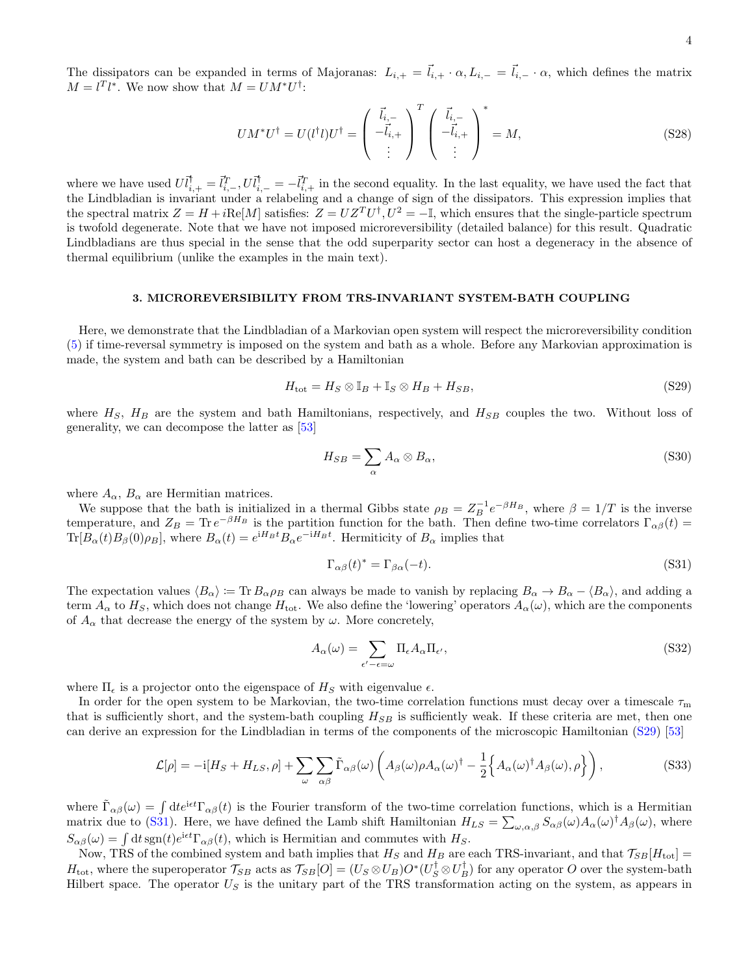The dissipators can be expanded in terms of Majoranas:  $L_{i,+} = \overline{l}_{i,+} \cdot \alpha, L_{i,-} = \overline{l}_{i,-} \cdot \alpha$ , which defines the matrix  $M = l^{T}l^{*}$ . We now show that  $M = UM^{*}U^{\dagger}$ :

$$
UM^*U^{\dagger} = U(l^{\dagger}l)U^{\dagger} = \begin{pmatrix} \vec{l}_{i,-} \\ -\vec{l}_{i,+} \\ \vdots \end{pmatrix}^T \begin{pmatrix} \vec{l}_{i,-} \\ -\vec{l}_{i,+} \\ \vdots \end{pmatrix}^* = M,
$$
\n(S28)

where we have used  $U_l^{\dagger}{}_{,+} = \vec{l}_{i,-}^T, U_l^{\dagger}{}_{,-} = -\vec{l}_{i,+}^T$  in the second equality. In the last equality, we have used the fact that the Lindbladian is invariant under a relabeling and a change of sign of the dissipators. This expression implies that the spectral matrix  $Z = H + i\text{Re}[M]$  satisfies:  $Z = UZ^TU^{\dagger}$ ,  $U^2 = -\mathbb{I}$ , which ensures that the single-particle spectrum is twofold degenerate. Note that we have not imposed microreversibility (detailed balance) for this result. Quadratic Lindbladians are thus special in the sense that the odd superparity sector can host a degeneracy in the absence of thermal equilibrium (unlike the examples in the main text).

#### 3. MICROREVERSIBILITY FROM TRS-INVARIANT SYSTEM-BATH COUPLING

Here, we demonstrate that the Lindbladian of a Markovian open system will respect the microreversibility condition [\(5\)](#page-1-3) if time-reversal symmetry is imposed on the system and bath as a whole. Before any Markovian approximation is made, the system and bath can be described by a Hamiltonian

$$
H_{\text{tot}} = H_S \otimes \mathbb{I}_B + \mathbb{I}_S \otimes H_B + H_{SB},\tag{S29}
$$

where  $H<sub>S</sub>$ ,  $H<sub>B</sub>$  are the system and bath Hamiltonians, respectively, and  $H<sub>SB</sub>$  couples the two. Without loss of generality, we can decompose the latter as [\[53\]](#page-5-14)

<span id="page-9-2"></span><span id="page-9-0"></span>
$$
H_{SB} = \sum_{\alpha} A_{\alpha} \otimes B_{\alpha},\tag{S30}
$$

where  $A_{\alpha}$ ,  $B_{\alpha}$  are Hermitian matrices.

We suppose that the bath is initialized in a thermal Gibbs state  $\rho_B = Z_B^{-1} e^{-\beta H_B}$ , where  $\beta = 1/T$  is the inverse temperature, and  $Z_B = \text{Tr} e^{-\beta H_B}$  is the partition function for the bath. Then define two-time correlators  $\Gamma_{\alpha\beta}(t)$  $\text{Tr}[B_{\alpha}(t)B_{\beta}(0)\rho_B]$ , where  $B_{\alpha}(t) = e^{iH_Bt}B_{\alpha}e^{-iH_Bt}$ . Hermiticity of  $B_{\alpha}$  implies that

<span id="page-9-3"></span><span id="page-9-1"></span>
$$
\Gamma_{\alpha\beta}(t)^* = \Gamma_{\beta\alpha}(-t). \tag{S31}
$$

The expectation values  $\langle B_{\alpha} \rangle := \text{Tr} B_{\alpha} \rho_B$  can always be made to vanish by replacing  $B_{\alpha} \to B_{\alpha} - \langle B_{\alpha} \rangle$ , and adding a term  $A_{\alpha}$  to  $H_S$ , which does not change  $H_{\text{tot}}$ . We also define the 'lowering' operators  $A_{\alpha}(\omega)$ , which are the components of  $A_{\alpha}$  that decrease the energy of the system by  $\omega$ . More concretely,

$$
A_{\alpha}(\omega) = \sum_{\epsilon' - \epsilon = \omega} \Pi_{\epsilon} A_{\alpha} \Pi_{\epsilon'}, \tag{S32}
$$

where  $\Pi_{\epsilon}$  is a projector onto the eigenspace of  $H_S$  with eigenvalue  $\epsilon$ .

In order for the open system to be Markovian, the two-time correlation functions must decay over a timescale  $\tau_{\rm m}$ that is sufficiently short, and the system-bath coupling  $H_{SB}$  is sufficiently weak. If these criteria are met, then one can derive an expression for the Lindbladian in terms of the components of the microscopic Hamiltonian [\(S29\)](#page-9-0) [\[53\]](#page-5-14)

$$
\mathcal{L}[\rho] = -i[H_S + H_{LS}, \rho] + \sum_{\omega} \sum_{\alpha\beta} \tilde{\Gamma}_{\alpha\beta}(\omega) \left( A_{\beta}(\omega) \rho A_{\alpha}(\omega)^{\dagger} - \frac{1}{2} \left\{ A_{\alpha}(\omega)^{\dagger} A_{\beta}(\omega), \rho \right\} \right), \tag{S33}
$$

where  $\tilde{\Gamma}_{\alpha\beta}(\omega) = \int dt e^{i\epsilon t} \Gamma_{\alpha\beta}(t)$  is the Fourier transform of the two-time correlation functions, which is a Hermitian matrix due to [\(S31\)](#page-9-1). Here, we have defined the Lamb shift Hamiltonian  $H_{LS} = \sum_{\omega,\alpha,\beta} S_{\alpha\beta}(\omega) A_{\alpha}(\omega)^{\dagger} A_{\beta}(\omega)$ , where  $S_{\alpha\beta}(\omega) = \int dt \, \text{sgn}(t) e^{i\epsilon t} \Gamma_{\alpha\beta}(t)$ , which is Hermitian and commutes with  $H_S$ .

Now, TRS of the combined system and bath implies that  $H_S$  and  $H_B$  are each TRS-invariant, and that  $\mathcal{T}_{SB}[H_{\text{tot}}] =$  $H_{\text{tot}}$ , where the superoperator  $\mathcal{T}_{SB}$  acts as  $\mathcal{T}_{SB}[O] = (U_S \otimes U_B)O^*(U_S^{\dagger} \otimes U_B^{\dagger})$  for any operator O over the system-bath Hilbert space. The operator  $U<sub>S</sub>$  is the unitary part of the TRS transformation acting on the system, as appears in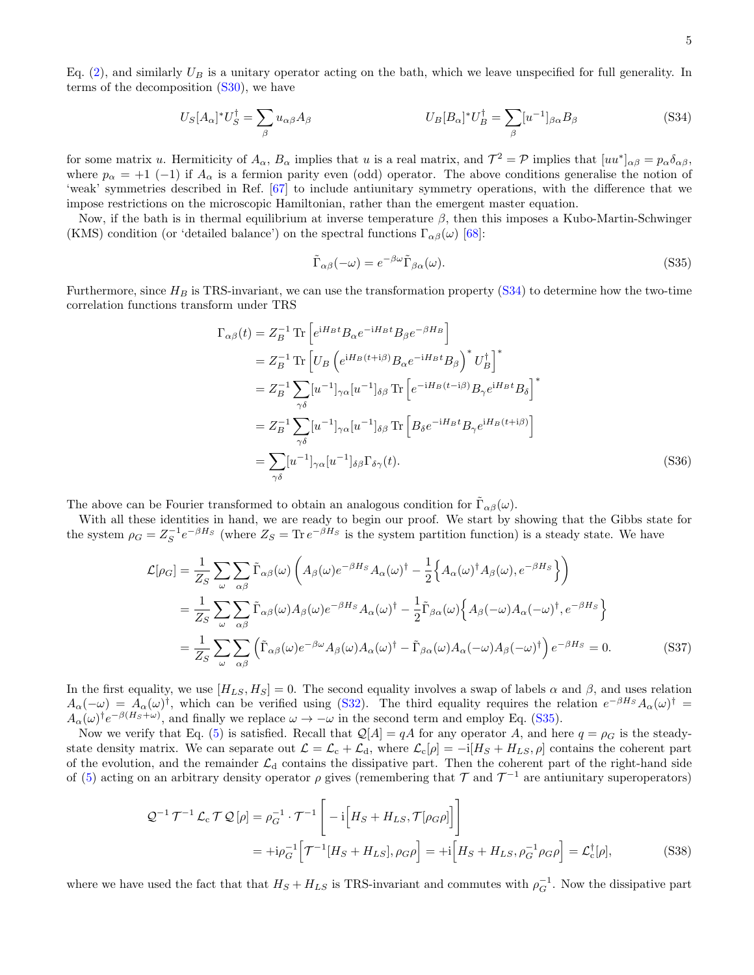Eq.  $(2)$ , and similarly  $U_B$  is a unitary operator acting on the bath, which we leave unspecified for full generality. In terms of the decomposition  $(S30)$ , we have

$$
U_{S}[A_{\alpha}]^{*}U_{S}^{\dagger} = \sum_{\beta} u_{\alpha\beta}A_{\beta} \qquad U_{B}[B_{\alpha}]^{*}U_{B}^{\dagger} = \sum_{\beta} [u^{-1}]_{\beta\alpha}B_{\beta} \qquad (S34)
$$

for some matrix u. Hermiticity of  $A_{\alpha}$ ,  $B_{\alpha}$  implies that u is a real matrix, and  $\mathcal{T}^2 = \mathcal{P}$  implies that  $[uu^*]_{\alpha\beta} = p_{\alpha}\delta_{\alpha\beta}$ , where  $p_{\alpha} = +1$  (-1) if  $A_{\alpha}$  is a fermion parity even (odd) operator. The above conditions generalise the notion of 'weak' symmetries described in Ref. [\[67\]](#page-5-29) to include antiunitary symmetry operations, with the difference that we impose restrictions on the microscopic Hamiltonian, rather than the emergent master equation.

Now, if the bath is in thermal equilibrium at inverse temperature  $\beta$ , then this imposes a Kubo-Martin-Schwinger (KMS) condition (or 'detailed balance') on the spectral functions  $\Gamma_{\alpha\beta}(\omega)$  [\[68\]](#page-5-30):

<span id="page-10-2"></span><span id="page-10-1"></span><span id="page-10-0"></span>
$$
\tilde{\Gamma}_{\alpha\beta}(-\omega) = e^{-\beta\omega} \tilde{\Gamma}_{\beta\alpha}(\omega). \tag{S35}
$$

Furthermore, since  $H_B$  is TRS-invariant, we can use the transformation property [\(S34\)](#page-10-0) to determine how the two-time correlation functions transform under TRS

$$
\Gamma_{\alpha\beta}(t) = Z_B^{-1} \text{Tr} \left[ e^{iH_B t} B_{\alpha} e^{-iH_B t} B_{\beta} e^{-\beta H_B} \right]
$$
  
\n
$$
= Z_B^{-1} \text{Tr} \left[ U_B \left( e^{iH_B (t+i\beta)} B_{\alpha} e^{-iH_B t} B_{\beta} \right)^* U_B^{\dagger} \right]^*
$$
  
\n
$$
= Z_B^{-1} \sum_{\gamma\delta} [u^{-1}]_{\gamma\alpha} [u^{-1}]_{\delta\beta} \text{Tr} \left[ e^{-iH_B (t-i\beta)} B_{\gamma} e^{iH_B t} B_{\delta} \right]^*
$$
  
\n
$$
= Z_B^{-1} \sum_{\gamma\delta} [u^{-1}]_{\gamma\alpha} [u^{-1}]_{\delta\beta} \text{Tr} \left[ B_{\delta} e^{-iH_B t} B_{\gamma} e^{iH_B (t+i\beta)} \right]
$$
  
\n
$$
= \sum_{\gamma\delta} [u^{-1}]_{\gamma\alpha} [u^{-1}]_{\delta\beta} \Gamma_{\delta\gamma}(t). \tag{S36}
$$

The above can be Fourier transformed to obtain an analogous condition for  $\tilde{\Gamma}_{\alpha\beta}(\omega)$ .

With all these identities in hand, we are ready to begin our proof. We start by showing that the Gibbs state for the system  $\rho_G = Z_S^{-1} e^{-\beta H_S}$  (where  $Z_S = \text{Tr} e^{-\beta H_S}$  is the system partition function) is a steady state. We have

$$
\mathcal{L}[\rho_G] = \frac{1}{Z_S} \sum_{\omega} \sum_{\alpha\beta} \tilde{\Gamma}_{\alpha\beta}(\omega) \left( A_{\beta}(\omega) e^{-\beta H_S} A_{\alpha}(\omega)^{\dagger} - \frac{1}{2} \Big\{ A_{\alpha}(\omega)^{\dagger} A_{\beta}(\omega), e^{-\beta H_S} \Big\} \right)
$$
  
\n
$$
= \frac{1}{Z_S} \sum_{\omega} \sum_{\alpha\beta} \tilde{\Gamma}_{\alpha\beta}(\omega) A_{\beta}(\omega) e^{-\beta H_S} A_{\alpha}(\omega)^{\dagger} - \frac{1}{2} \tilde{\Gamma}_{\beta\alpha}(\omega) \Big\{ A_{\beta}(-\omega) A_{\alpha}(-\omega)^{\dagger}, e^{-\beta H_S} \Big\}
$$
  
\n
$$
= \frac{1}{Z_S} \sum_{\omega} \sum_{\alpha\beta} \left( \tilde{\Gamma}_{\alpha\beta}(\omega) e^{-\beta \omega} A_{\beta}(\omega) A_{\alpha}(\omega)^{\dagger} - \tilde{\Gamma}_{\beta\alpha}(\omega) A_{\alpha}(-\omega) A_{\beta}(-\omega)^{\dagger} \right) e^{-\beta H_S} = 0.
$$
 (S37)

In the first equality, we use  $[H_{LS}, H_S] = 0$ . The second equality involves a swap of labels  $\alpha$  and  $\beta$ , and uses relation  $A_{\alpha}(-\omega) = A_{\alpha}(\omega)^{\dagger}$ , which can be verified using [\(S32\)](#page-9-3). The third equality requires the relation  $e^{-\beta H_S} A_{\alpha}(\omega)^{\dagger} =$  $A_{\alpha}(\omega)^{\dagger}e^{-\beta(H_{S}+\omega)}$ , and finally we replace  $\omega \to -\omega$  in the second term and employ Eq. [\(S35\)](#page-10-1).

Now we verify that Eq. [\(5\)](#page-1-3) is satisfied. Recall that  $\mathcal{Q}[A] = qA$  for any operator A, and here  $q = \rho_G$  is the steadystate density matrix. We can separate out  $\mathcal{L} = \mathcal{L}_{c} + \mathcal{L}_{d}$ , where  $\mathcal{L}_{c}[\rho] = -i[H_S + H_{LS}, \rho]$  contains the coherent part of the evolution, and the remainder  $\mathcal{L}_d$  contains the dissipative part. Then the coherent part of the right-hand side of [\(5\)](#page-1-3) acting on an arbitrary density operator  $\rho$  gives (remembering that  $\mathcal T$  and  $\mathcal T^{-1}$  are antiunitary superoperators)

$$
\mathcal{Q}^{-1}\,\mathcal{T}^{-1}\,\mathcal{L}_{\rm c}\,\mathcal{T}\,\mathcal{Q}\left[\rho\right] = \rho_{G}^{-1}\cdot\mathcal{T}^{-1}\left[-\mathrm{i}\Big[H_{S} + H_{LS}, \mathcal{T}[\rho_{G}\rho]\Big]\right]
$$
\n
$$
= +\mathrm{i}\rho_{G}^{-1}\Big[\mathcal{T}^{-1}[H_{S} + H_{LS}], \rho_{G}\rho\Big] = +\mathrm{i}\Big[H_{S} + H_{LS}, \rho_{G}^{-1}\rho_{G}\rho\Big] = \mathcal{L}_{\rm c}^{\dagger}[\rho],\tag{S38}
$$

where we have used the fact that that  $H_S + H_{LS}$  is TRS-invariant and commutes with  $\rho_G^{-1}$ . Now the dissipative part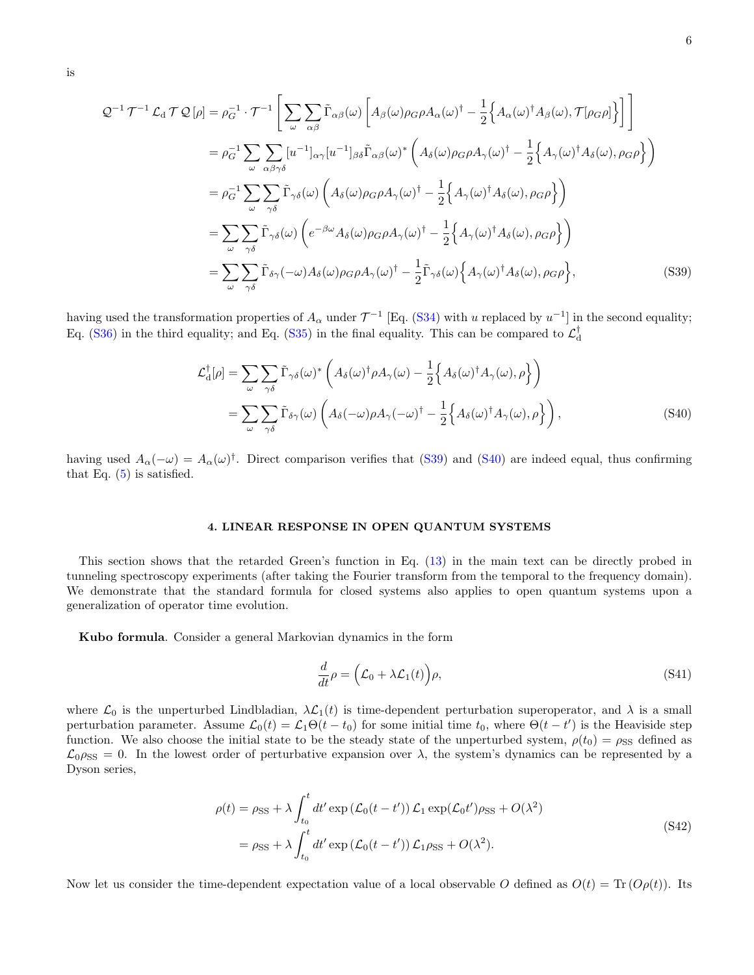is

$$
Q^{-1} \mathcal{T}^{-1} \mathcal{L}_{d} \mathcal{T} Q[\rho] = \rho_{G}^{-1} \cdot \mathcal{T}^{-1} \left[ \sum_{\omega} \sum_{\alpha\beta} \tilde{\Gamma}_{\alpha\beta}(\omega) \left[ A_{\beta}(\omega) \rho_{G} \rho A_{\alpha}(\omega)^{\dagger} - \frac{1}{2} \left\{ A_{\alpha}(\omega)^{\dagger} A_{\beta}(\omega), \mathcal{T}[\rho_{G}\rho] \right\} \right] \right]
$$
  
\n
$$
= \rho_{G}^{-1} \sum_{\omega} \sum_{\alpha\beta\gamma\delta} [u^{-1}]_{\alpha\gamma} [u^{-1}]_{\beta\delta} \tilde{\Gamma}_{\alpha\beta}(\omega)^{*} \left( A_{\delta}(\omega) \rho_{G} \rho A_{\gamma}(\omega)^{\dagger} - \frac{1}{2} \left\{ A_{\gamma}(\omega)^{\dagger} A_{\delta}(\omega), \rho_{G}\rho \right\} \right)
$$
  
\n
$$
= \rho_{G}^{-1} \sum_{\omega} \sum_{\gamma\delta} \tilde{\Gamma}_{\gamma\delta}(\omega) \left( A_{\delta}(\omega) \rho_{G} \rho A_{\gamma}(\omega)^{\dagger} - \frac{1}{2} \left\{ A_{\gamma}(\omega)^{\dagger} A_{\delta}(\omega), \rho_{G}\rho \right\} \right)
$$
  
\n
$$
= \sum_{\omega} \sum_{\gamma\delta} \tilde{\Gamma}_{\gamma\delta}(\omega) \left( e^{-\beta\omega} A_{\delta}(\omega) \rho_{G} \rho A_{\gamma}(\omega)^{\dagger} - \frac{1}{2} \left\{ A_{\gamma}(\omega)^{\dagger} A_{\delta}(\omega), \rho_{G}\rho \right\} \right)
$$
  
\n
$$
= \sum_{\omega} \sum_{\gamma\delta} \tilde{\Gamma}_{\delta\gamma}(-\omega) A_{\delta}(\omega) \rho_{G} \rho A_{\gamma}(\omega)^{\dagger} - \frac{1}{2} \tilde{\Gamma}_{\gamma\delta}(\omega) \left\{ A_{\gamma}(\omega)^{\dagger} A_{\delta}(\omega), \rho_{G}\rho \right\}, \tag{S39}
$$

having used the transformation properties of  $A_\alpha$  under  $\mathcal{T}^{-1}$  [Eq. [\(S34\)](#page-10-0) with u replaced by  $u^{-1}$ ] in the second equality; Eq. [\(S36\)](#page-10-2) in the third equality; and Eq. [\(S35\)](#page-10-1) in the final equality. This can be compared to  $\mathcal{L}_{\rm d}^{\dagger}$ 

<span id="page-11-0"></span>
$$
\mathcal{L}_{d}^{\dagger}[\rho] = \sum_{\omega} \sum_{\gamma\delta} \tilde{\Gamma}_{\gamma\delta}(\omega)^{*} \left( A_{\delta}(\omega)^{\dagger} \rho A_{\gamma}(\omega) - \frac{1}{2} \Big\{ A_{\delta}(\omega)^{\dagger} A_{\gamma}(\omega), \rho \Big\} \right)
$$
  
= 
$$
\sum_{\omega} \sum_{\gamma\delta} \tilde{\Gamma}_{\delta\gamma}(\omega) \left( A_{\delta}(-\omega) \rho A_{\gamma}(-\omega)^{\dagger} - \frac{1}{2} \Big\{ A_{\delta}(\omega)^{\dagger} A_{\gamma}(\omega), \rho \Big\} \right),
$$
 (S40)

having used  $A_{\alpha}(-\omega) = A_{\alpha}(\omega)^{\dagger}$ . Direct comparison verifies that [\(S39\)](#page-11-0) and [\(S40\)](#page-11-1) are indeed equal, thus confirming that Eq.  $(5)$  is satisfied.

#### 4. LINEAR RESPONSE IN OPEN QUANTUM SYSTEMS

This section shows that the retarded Green's function in Eq. [\(13\)](#page-3-0) in the main text can be directly probed in tunneling spectroscopy experiments (after taking the Fourier transform from the temporal to the frequency domain). We demonstrate that the standard formula for closed systems also applies to open quantum systems upon a generalization of operator time evolution.

Kubo formula. Consider a general Markovian dynamics in the form

<span id="page-11-3"></span><span id="page-11-2"></span><span id="page-11-1"></span>
$$
\frac{d}{dt}\rho = \left(\mathcal{L}_0 + \lambda \mathcal{L}_1(t)\right)\rho,\tag{S41}
$$

where  $\mathcal{L}_0$  is the unperturbed Lindbladian,  $\lambda \mathcal{L}_1(t)$  is time-dependent perturbation superoperator, and  $\lambda$  is a small perturbation parameter. Assume  $\mathcal{L}_0(t) = \mathcal{L}_1 \Theta(t - t_0)$  for some initial time  $t_0$ , where  $\Theta(t - t')$  is the Heaviside step function. We also choose the initial state to be the steady state of the unperturbed system,  $\rho(t_0) = \rho_{SS}$  defined as  $\mathcal{L}_{0}\rho_{SS} = 0$ . In the lowest order of perturbative expansion over  $\lambda$ , the system's dynamics can be represented by a Dyson series,

$$
\rho(t) = \rho_{\rm SS} + \lambda \int_{t_0}^t dt' \exp\left(\mathcal{L}_0(t - t')\right) \mathcal{L}_1 \exp(\mathcal{L}_0 t') \rho_{\rm SS} + O(\lambda^2)
$$
  
=  $\rho_{\rm SS} + \lambda \int_{t_0}^t dt' \exp\left(\mathcal{L}_0(t - t')\right) \mathcal{L}_1 \rho_{\rm SS} + O(\lambda^2).$  (S42)

Now let us consider the time-dependent expectation value of a local observable O defined as  $O(t) = \text{Tr}(O(\rho(t)))$ . Its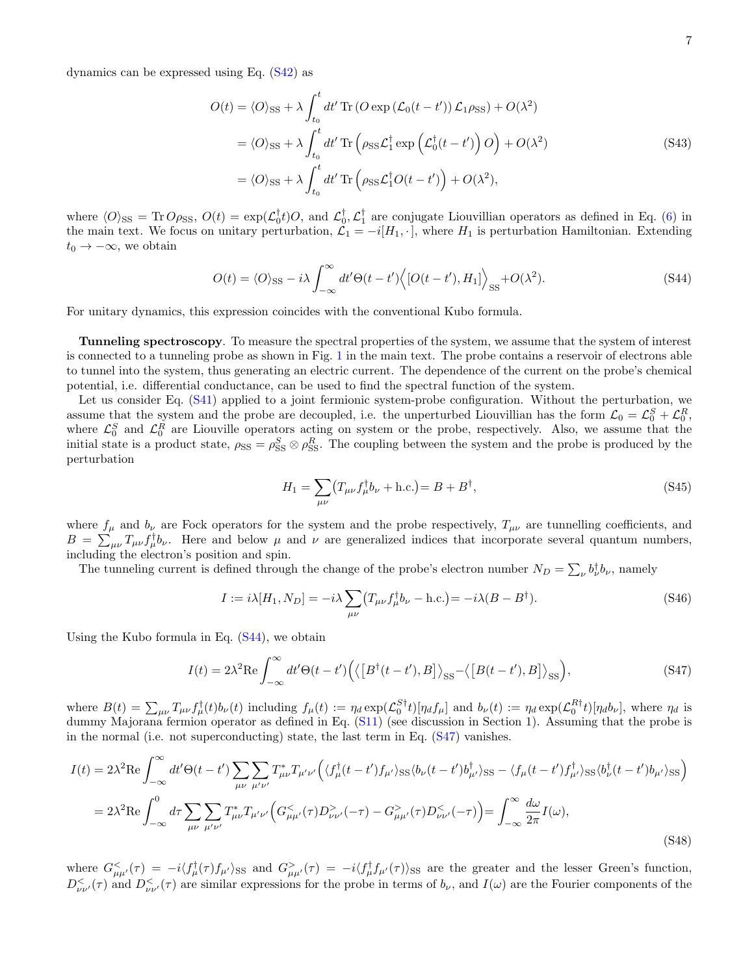dynamics can be expressed using Eq. [\(S42\)](#page-11-2) as

$$
O(t) = \langle O \rangle_{\text{SS}} + \lambda \int_{t_0}^t dt' \operatorname{Tr} \left( O \exp \left( \mathcal{L}_0(t - t') \right) \mathcal{L}_1 \rho_{\text{SS}} \right) + O(\lambda^2)
$$
  

$$
= \langle O \rangle_{\text{SS}} + \lambda \int_{t_0}^t dt' \operatorname{Tr} \left( \rho_{\text{SS}} \mathcal{L}_1^\dagger \exp \left( \mathcal{L}_0^\dagger(t - t') \right) O \right) + O(\lambda^2)
$$
  

$$
= \langle O \rangle_{\text{SS}} + \lambda \int_{t_0}^t dt' \operatorname{Tr} \left( \rho_{\text{SS}} \mathcal{L}_1^\dagger O(t - t') \right) + O(\lambda^2), \tag{S43}
$$

where  $\langle O \rangle_{\rm SS} = {\rm Tr} O \rho_{\rm SS}$ ,  $O(t) = \exp(\mathcal{L}_0^{\dagger} t)O$ , and  $\mathcal{L}_0^{\dagger}$ ,  $\mathcal{L}_1^{\dagger}$  are conjugate Liouvillian operators as defined in Eq. [\(6\)](#page-2-1) in the main text. We focus on unitary perturbation,  $\mathcal{L}_1 = -i[H_1, \cdot]$ , where  $H_1$  is perturbation Hamiltonian. Extending  $t_0 \rightarrow -\infty$ , we obtain

$$
O(t) = \langle O \rangle_{\rm SS} - i\lambda \int_{-\infty}^{\infty} dt' \Theta(t - t') \langle [O(t - t'), H_1] \rangle_{\rm SS} + O(\lambda^2). \tag{S44}
$$

For unitary dynamics, this expression coincides with the conventional Kubo formula.

Tunneling spectroscopy. To measure the spectral properties of the system, we assume that the system of interest is connected to a tunneling probe as shown in Fig. [1](#page-0-0) in the main text. The probe contains a reservoir of electrons able to tunnel into the system, thus generating an electric current. The dependence of the current on the probe's chemical potential, i.e. differential conductance, can be used to find the spectral function of the system.

Let us consider Eq. [\(S41\)](#page-11-3) applied to a joint fermionic system-probe configuration. Without the perturbation, we assume that the system and the probe are decoupled, i.e. the unperturbed Liouvillian has the form  $\mathcal{L}_0 = \mathcal{L}_0^S + \mathcal{L}_0^R$ , where  $\mathcal{L}_0^S$  and  $\mathcal{L}_0^R$  are Liouville operators acting on system or the probe, respectively. Also, we assume that the initial state is a product state,  $\rho_{SS} = \rho_{SS}^S \otimes \rho_{SS}^R$ . The coupling between the system and the probe is produced by the perturbation

<span id="page-12-1"></span><span id="page-12-0"></span>
$$
H_1 = \sum_{\mu\nu} \left( T_{\mu\nu} f_{\mu}^{\dagger} b_{\nu} + \text{h.c.} \right) = B + B^{\dagger},\tag{S45}
$$

where  $f_{\mu}$  and  $b_{\nu}$  are Fock operators for the system and the probe respectively,  $T_{\mu\nu}$  are tunnelling coefficients, and  $B = \sum_{\mu\nu} T_{\mu\nu} f_{\mu}^{\dagger} b_{\nu}$ . Here and below  $\mu$  and  $\nu$  are generalized indices that incorporate several quantum numbers, including the electron's position and spin.

The tunneling current is defined through the change of the probe's electron number  $N_D = \sum_{\nu} b_{\nu}^{\dagger} b_{\nu}$ , namely

$$
I := i\lambda [H_1, N_D] = -i\lambda \sum_{\mu\nu} (T_{\mu\nu} f_{\mu}^{\dagger} b_{\nu} - \text{h.c.}) = -i\lambda (B - B^{\dagger}). \tag{S46}
$$

Using the Kubo formula in Eq.  $(S44)$ , we obtain

$$
I(t) = 2\lambda^2 \text{Re} \int_{-\infty}^{\infty} dt' \Theta(t - t') \Big( \langle \big[B^\dagger(t - t'), B \big] \rangle_{\text{SS}} - \langle \big[B(t - t'), B \big] \rangle_{\text{SS}} \Big), \tag{S47}
$$

where  $B(t) = \sum_{\mu\nu} T_{\mu\nu} f_{\mu}^{\dagger}(t) b_{\nu}(t)$  including  $f_{\mu}(t) := \eta_d \exp(\mathcal{L}_0^{S\dagger} t) [\eta_d f_{\mu}]$  and  $b_{\nu}(t) := \eta_d \exp(\mathcal{L}_0^{R\dagger} t) [\eta_d b_{\nu}]$ , where  $\eta_d$  is dummy Majorana fermion operator as defined in Eq. [\(S11\)](#page-2-0) (see discussion in Section 1). Assuming that the probe is in the normal (i.e. not superconducting) state, the last term in Eq. [\(S47\)](#page-12-1) vanishes.

$$
I(t) = 2\lambda^2 \text{Re} \int_{-\infty}^{\infty} dt' \Theta(t-t') \sum_{\mu\nu} \sum_{\mu'\nu'} T_{\mu\nu}^* T_{\mu'\nu'} \Big( \langle f_{\mu}^{\dagger}(t-t') f_{\mu'} \rangle_{\text{SS}} \langle b_{\nu}(t-t') b_{\mu'}^{\dagger} \rangle_{\text{SS}} - \langle f_{\mu}(t-t') f_{\mu'}^{\dagger} \rangle_{\text{SS}} \langle b_{\nu}^{\dagger}(t-t') b_{\mu'} \rangle_{\text{SS}} \Big)
$$
  
= 
$$
2\lambda^2 \text{Re} \int_{-\infty}^{0} d\tau \sum_{\mu\nu} \sum_{\mu'\nu'} T_{\mu\nu}^* T_{\mu'\nu'} \Big( G_{\mu\mu'}^{<}(\tau) D_{\nu\nu'}^{>}(-\tau) - G_{\mu\mu'}^{>}(\tau) D_{\nu\nu'}^{<}(-\tau) \Big) = \int_{-\infty}^{\infty} \frac{d\omega}{2\pi} I(\omega),
$$
 (S48)

where  $G_{\mu\mu'}^<(\tau) = -i \langle f_{\mu}^{\dagger}(\tau) f_{\mu'} \rangle_{\rm SS}$  and  $G_{\mu\mu'}^>(\tau) = -i \langle f_{\mu}^{\dagger} f_{\mu'}(\tau) \rangle_{\rm SS}$  are the greater and the lesser Green's function,  $D^{\lt}_{\nu\nu'}(\tau)$  and  $D^{\lt}_{\nu\nu'}(\tau)$  are similar expressions for the probe in terms of  $b_{\nu}$ , and  $I(\omega)$  are the Fourier components of the